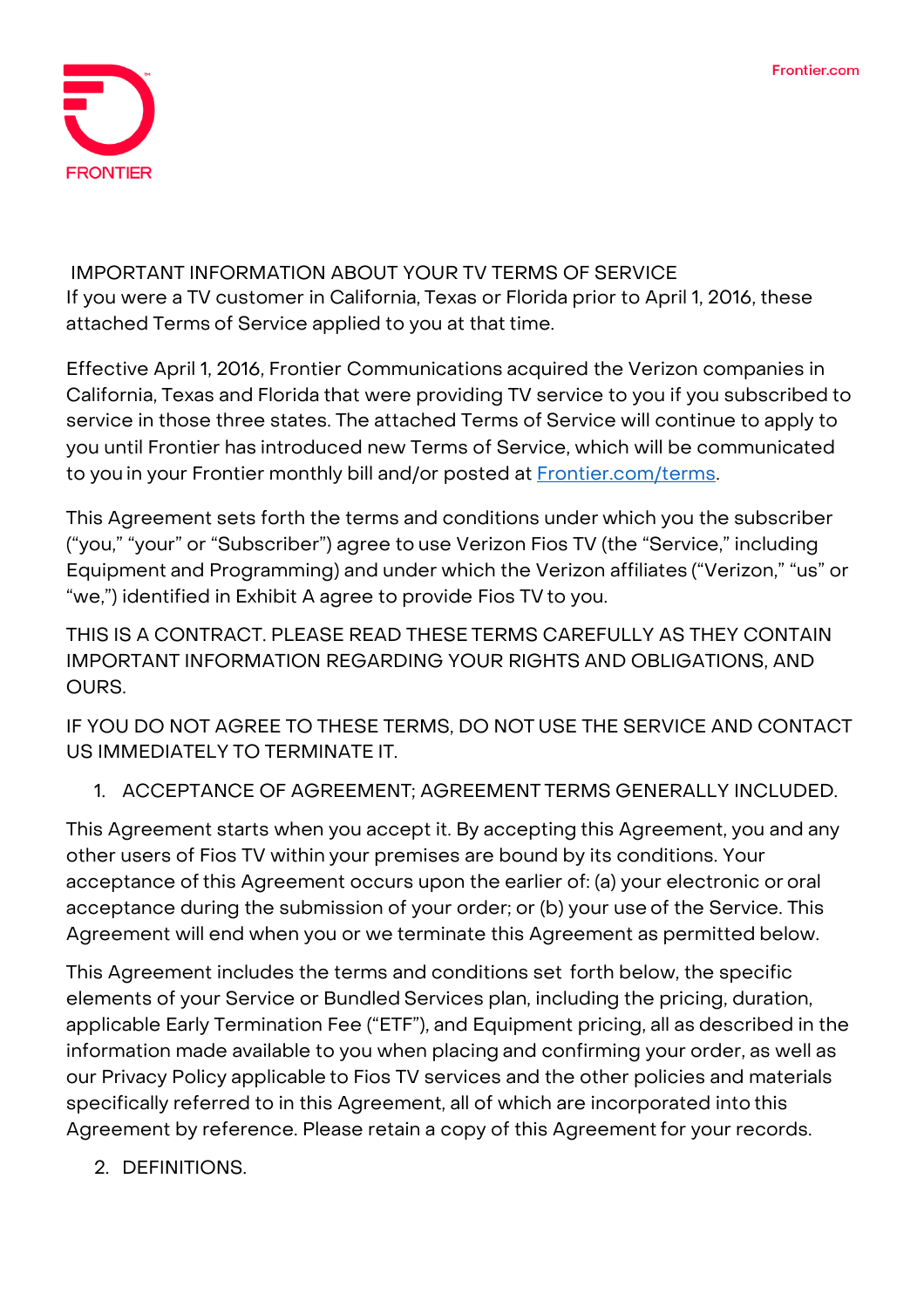

**IMPORTANT INFORMATION ABOUT YOUR TV TERMS OF SERVICE If you were a TV customer in California, Texas or Florida prior to April 1, 2016, these attached Terms of Service applied to you at that time.**

**Effective April 1, 2016, Frontier Communications acquired the Verizon companies in California, Texas and Florida that were providing TV service to you if you subscribed to service in those three states. The attached Terms of Service will continue to apply to you until Frontier has introduced new Terms of Service, which will be communicated to you in your Frontier monthly bill and/or posted at [Frontier.com/terms.](https://frontier.com/corporate/terms)**

This Agreement sets forth the terms and conditions under which you the subscriber ("you," "your" or "Subscriber") agree to use Verizon Fios TV (the "Service," including Equipment and Programming) and under which the Verizon affiliates ("Verizon," "us" or "we,") identified in Exhibit A agree to provide Fios TV to you.

THIS IS A CONTRACT. PLEASE READ THESE TERMS CAREFULLY AS THEY CONTAIN IMPORTANT INFORMATION REGARDING YOUR RIGHTS AND OBLIGATIONS, AND OURS.

IF YOU DO NOT AGREE TO THESE TERMS, DO NOT USE THE SERVICE AND CONTACT US IMMEDIATELY TO TERMINATE IT.

# 1. ACCEPTANCE OF AGREEMENT; AGREEMENT TERMS GENERALLY INCLUDED.

This Agreement starts when you accept it. By accepting this Agreement, you and any other users of Fios TV within your premises are bound by its conditions. Your acceptance of this Agreement occurs upon the earlier of: (a) your electronic or oral acceptance during the submission of your order; or (b) your use of the Service. This Agreement will end when you or we terminate this Agreement as permitted below.

This Agreement includes the terms and conditions set forth below, the specific elements of your Service or Bundled Services plan, including the pricing, duration, applicable Early Termination Fee ("ETF"), and Equipment pricing, all as described in the information made available to you when placing and confirming your order, as well as our Privacy Policy applicable to Fios TV services and the other policies and materials specifically referred to in this Agreement, all of which are incorporated into this Agreement by reference. Please retain a copy of this Agreement for your records.

2. DEFINITIONS.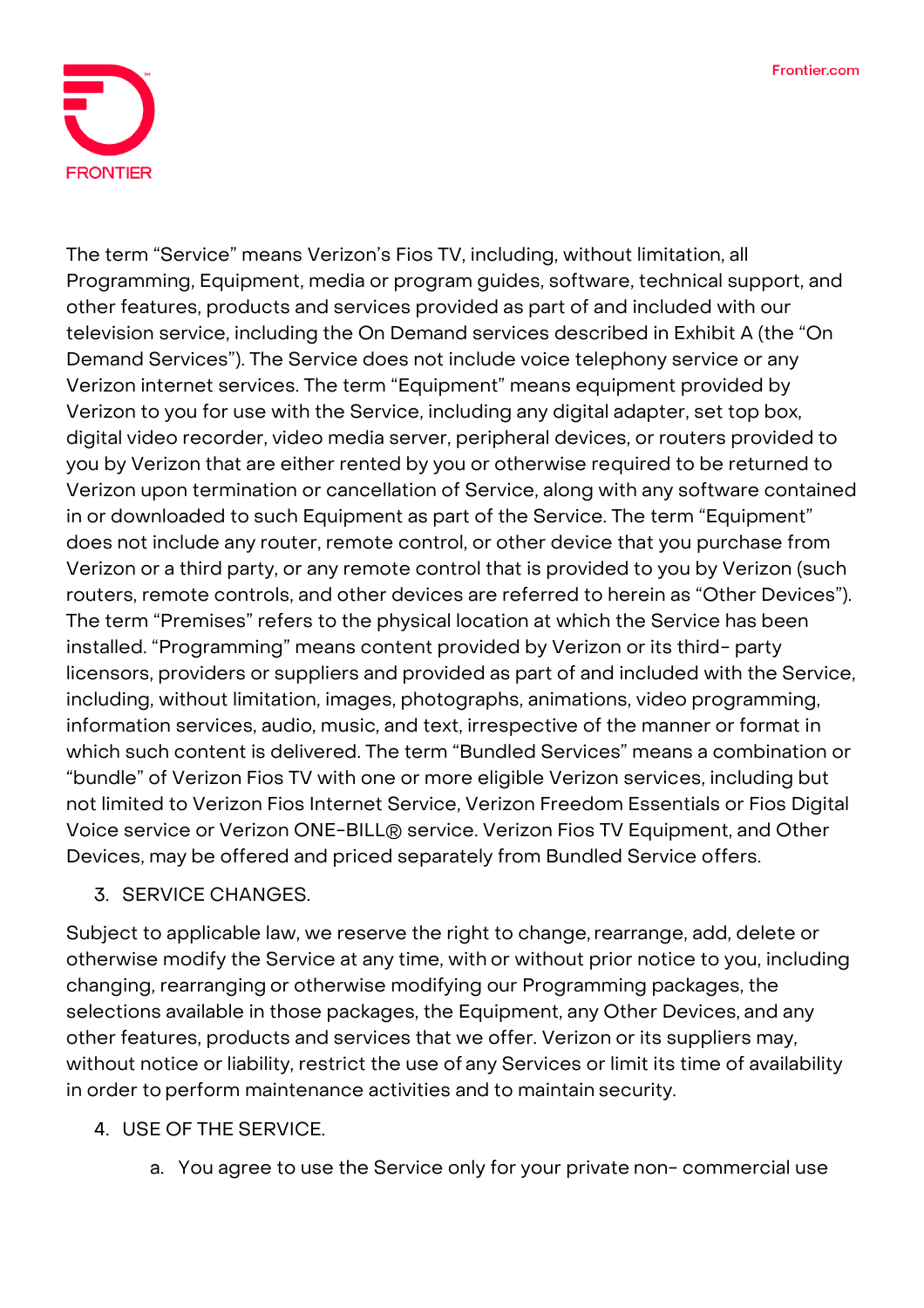

The term "Service" means Verizon's Fios TV, including, without limitation, all Programming, Equipment, media or program guides, software, technical support, and other features, products and services provided as part of and included with our television service, including the On Demand services described in Exhibit A (the "On Demand Services"). The Service does not include voice telephony service or any Verizon internet services. The term "Equipment" means equipment provided by Verizon to you for use with the Service, including any digital adapter, set top box, digital video recorder, video media server, peripheral devices, or routers provided to you by Verizon that are either rented by you or otherwise required to be returned to Verizon upon termination or cancellation of Service, along with any software contained in or downloaded to such Equipment as part of the Service. The term "Equipment" does not include any router, remote control, or other device that you purchase from Verizon or a third party, or any remote control that is provided to you by Verizon (such routers, remote controls, and other devices are referred to herein as "Other Devices"). The term "Premises" refers to the physical location at which the Service has been installed. "Programming" means content provided by Verizon or its third- party licensors, providers or suppliers and provided as part of and included with the Service, including, without limitation, images, photographs, animations, video programming, information services, audio, music, and text, irrespective of the manner or format in which such content is delivered. The term "Bundled Services" means a combination or "bundle" of Verizon Fios TV with one or more eligible Verizon services, including but not limited to Verizon Fios Internet Service, Verizon Freedom Essentials or Fios Digital Voice service or Verizon ONE-BILL® service. Verizon Fios TV Equipment, and Other Devices, may be offered and priced separately from Bundled Service offers.

## 3. SERVICE CHANGES.

Subject to applicable law, we reserve the right to change, rearrange, add, delete or otherwise modify the Service at any time, with or without prior notice to you, including changing, rearranging or otherwise modifying our Programming packages, the selections available in those packages, the Equipment, any Other Devices, and any other features, products and services that we offer. Verizon or its suppliers may, without notice or liability, restrict the use of any Services or limit its time of availability in order to perform maintenance activities and to maintain security.

## 4. USE OF THE SERVICE.

a. You agree to use the Service only for your private non- commercial use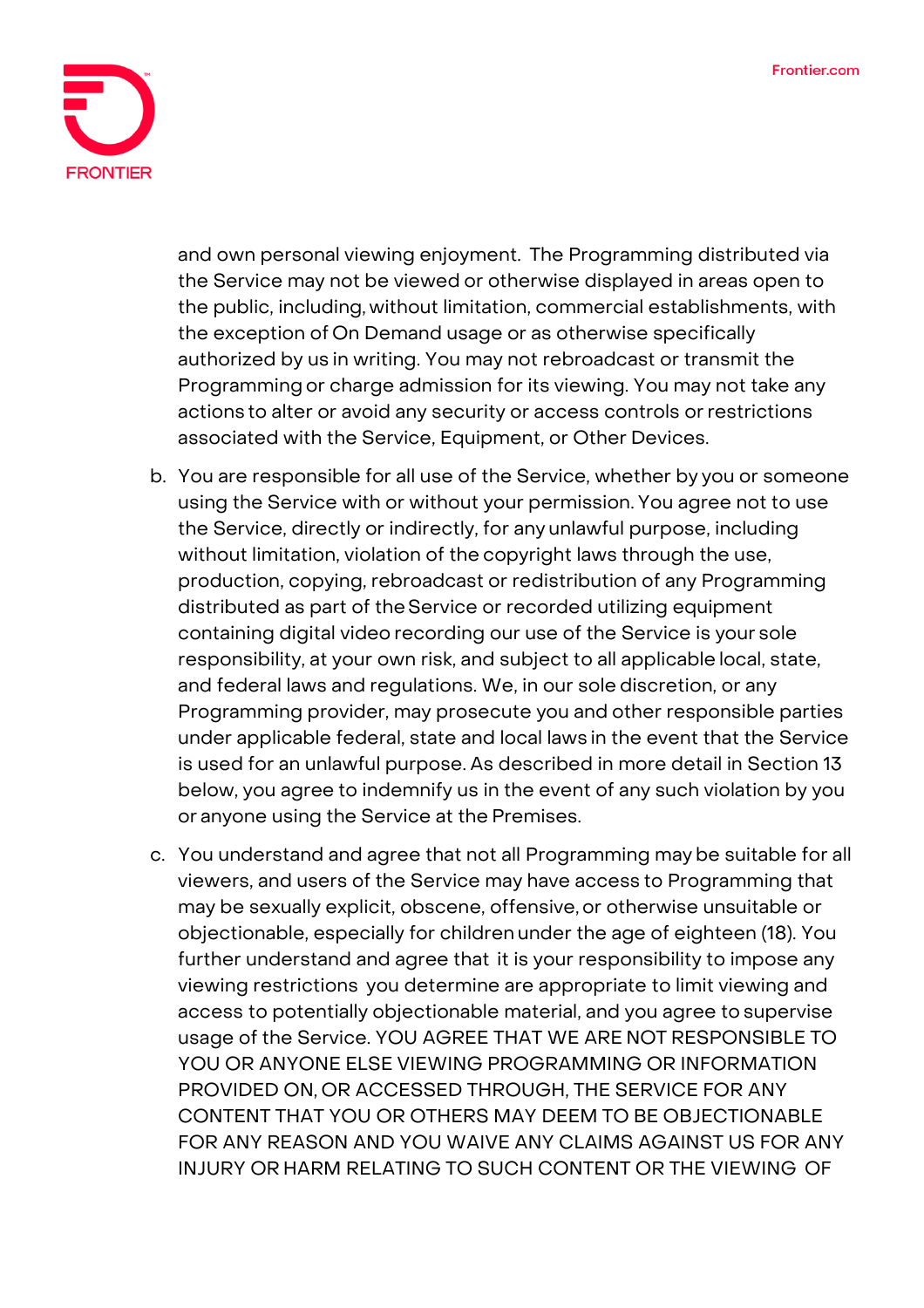

and own personal viewing enjoyment. The Programming distributed via the Service may not be viewed or otherwise displayed in areas open to the public, including, without limitation, commercial establishments, with the exception of On Demand usage or as otherwise specifically authorized by us in writing. You may not rebroadcast or transmit the Programming or charge admission for its viewing. You may not take any actions to alter or avoid any security or access controls orrestrictions associated with the Service, Equipment, or Other Devices.

- b. You are responsible for all use of the Service, whether by you or someone using the Service with or without your permission. You agree not to use the Service, directly or indirectly, for any unlawful purpose, including without limitation, violation of the copyright laws through the use, production, copying, rebroadcast or redistribution of any Programming distributed as part of theService or recorded utilizing equipment containing digital video recording our use of the Service is your sole responsibility, at your own risk, and subject to all applicable local, state, and federal laws and regulations. We, in our sole discretion, or any Programming provider, may prosecute you and other responsible parties under applicable federal, state and local laws in the event that the Service is used for an unlawful purpose. As described in more detail in Section 13 below, you agree to indemnify us in the event of any such violation by you or anyone using the Service at the Premises.
- c. You understand and agree that not all Programming may be suitable for all viewers, and users of the Service may have access to Programming that may be sexually explicit, obscene, offensive, or otherwise unsuitable or objectionable, especially for children under the age of eighteen (18). You further understand and agree that it is your responsibility to impose any viewing restrictions you determine are appropriate to limit viewing and access to potentially objectionable material, and you agree to supervise usage of the Service. YOU AGREE THAT WE ARE NOT RESPONSIBLE TO YOU OR ANYONE ELSE VIEWING PROGRAMMING OR INFORMATION PROVIDED ON, OR ACCESSED THROUGH, THE SERVICE FOR ANY CONTENT THAT YOU OR OTHERS MAY DEEM TO BE OBJECTIONABLE FOR ANY REASON AND YOU WAIVE ANY CLAIMS AGAINST US FOR ANY INJURY OR HARM RELATING TO SUCH CONTENT OR THE VIEWING OF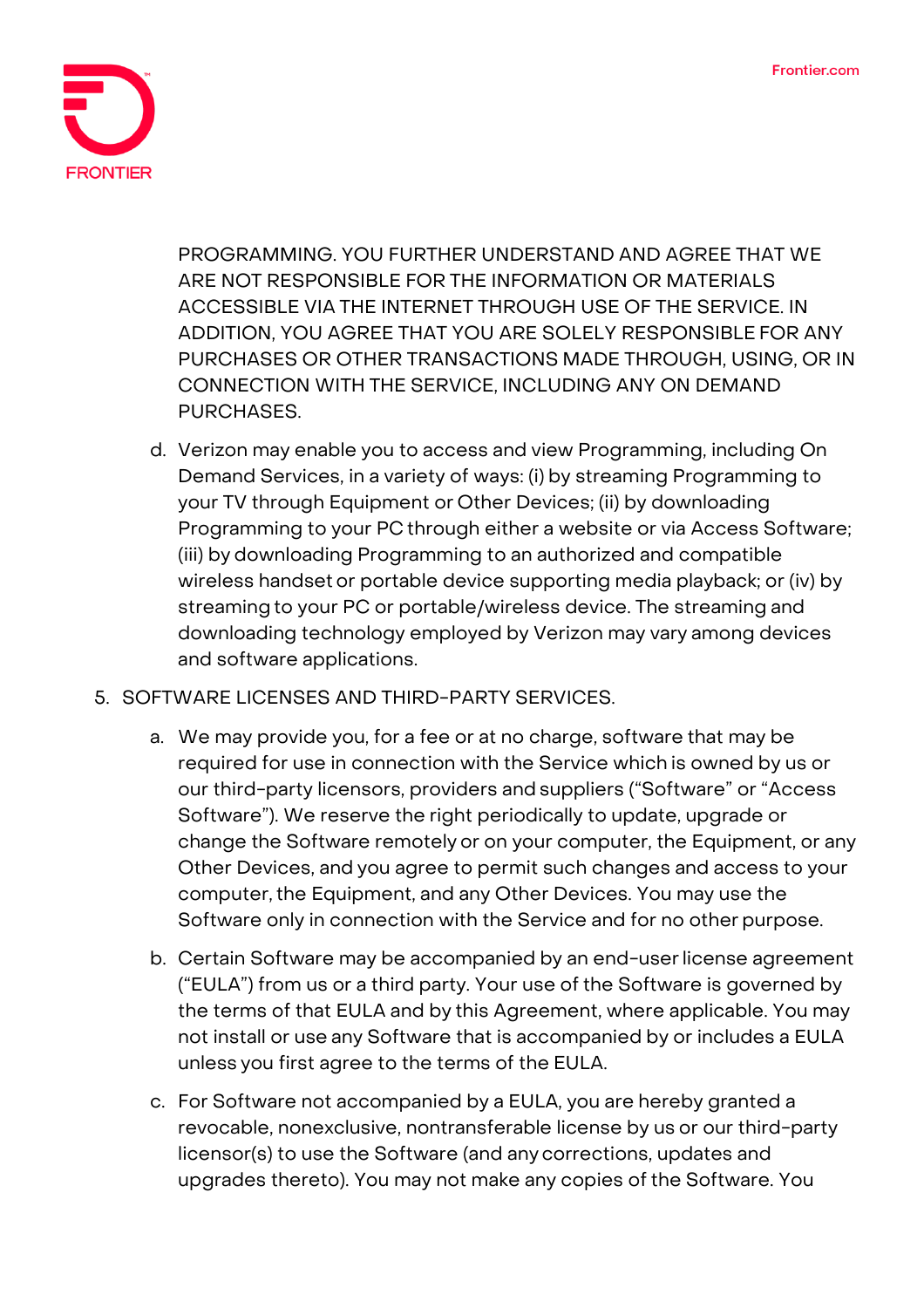

PROGRAMMING. YOU FURTHER UNDERSTAND AND AGREE THAT WE ARE NOT RESPONSIBLE FOR THE INFORMATION OR MATERIALS ACCESSIBLE VIA THE INTERNET THROUGH USE OF THE SERVICE. IN ADDITION, YOU AGREE THAT YOU ARE SOLELY RESPONSIBLE FOR ANY PURCHASES OR OTHER TRANSACTIONS MADE THROUGH, USING, OR IN CONNECTION WITH THE SERVICE, INCLUDING ANY ON DEMAND PURCHASES.

- d. Verizon may enable you to access and view Programming, including On Demand Services, in a variety of ways: (i) by streaming Programming to your TV through Equipment or Other Devices; (ii) by downloading Programming to your PC through either a website or via Access Software; (iii) by downloading Programming to an authorized and compatible wireless handset or portable device supporting media playback; or (iv) by streaming to your PC or portable/wireless device. The streaming and downloading technology employed by Verizon may vary among devices and software applications.
- 5. SOFTWARE LICENSES AND THIRD-PARTY SERVICES.
	- a. We may provide you, for a fee or at no charge, software that may be required for use in connection with the Service which is owned by us or our third-party licensors, providers and suppliers ("Software" or "Access Software"). We reserve the right periodically to update, upgrade or change the Software remotely or on your computer, the Equipment, or any Other Devices, and you agree to permit such changes and access to your computer, the Equipment, and any Other Devices. You may use the Software only in connection with the Service and for no other purpose.
	- b. Certain Software may be accompanied by an end-userlicense agreement ("EULA") from us or a third party. Your use of the Software is governed by the terms of that EULA and by this Agreement, where applicable. You may not install or use any Software that is accompanied by or includes a EULA unless you first agree to the terms of the EULA.
	- c. For Software not accompanied by a EULA, you are hereby granted a revocable, nonexclusive, nontransferable license by us or our third-party licensor(s) to use the Software (and any corrections, updates and upgrades thereto). You may not make any copies of the Software. You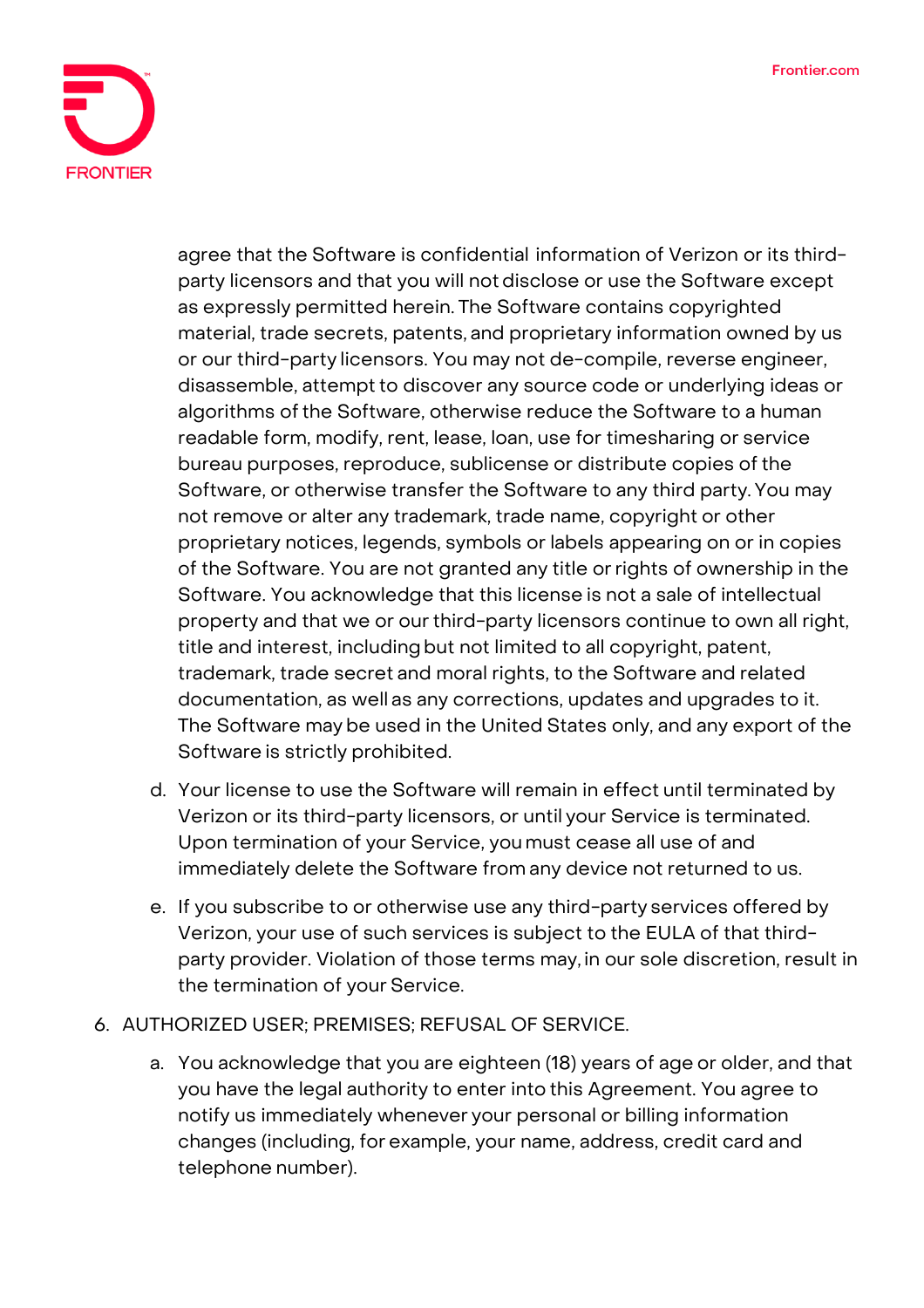

agree that the Software is confidential information of Verizon or its thirdparty licensors and that you will notdisclose or use the Software except as expressly permitted herein. The Software contains copyrighted material, trade secrets, patents, and proprietary information owned by us or our third-party licensors. You may not de-compile, reverse engineer, disassemble, attempt to discover any source code or underlying ideas or algorithms of the Software, otherwise reduce the Software to a human readable form, modify, rent, lease, loan, use for timesharing or service bureau purposes, reproduce, sublicense or distribute copies of the Software, or otherwise transfer the Software to any third party.You may not remove or alter any trademark, trade name, copyright or other proprietary notices, legends, symbols or labels appearing on or in copies of the Software. You are not granted any title orrights of ownership in the Software. You acknowledge that this license is not a sale of intellectual property and that we or our third-party licensors continue to own all right, title and interest, including but not limited to all copyright, patent, trademark, trade secret and moral rights, to the Software and related documentation, as well as any corrections, updates and upgrades to it. The Software may be used in the United States only, and any export of the Software is strictly prohibited.

- d. Your license to use the Software will remain in effect until terminated by Verizon or its third-party licensors, or until your Service is terminated. Upon termination of your Service, youmust cease all use of and immediately delete the Software from any device not returned to us.
- e. If you subscribe to or otherwise use any third-party services offered by Verizon, your use of such services is subject to the EULA of that thirdparty provider. Violation of those terms may, in our sole discretion, result in the termination of your Service.

## 6. AUTHORIZED USER; PREMISES; REFUSAL OF SERVICE.

a. You acknowledge that you are eighteen (18) years of age or older, and that you have the legal authority to enter into this Agreement. You agree to notify us immediately whenever your personal or billing information changes (including, for example, your name, address, credit card and telephone number).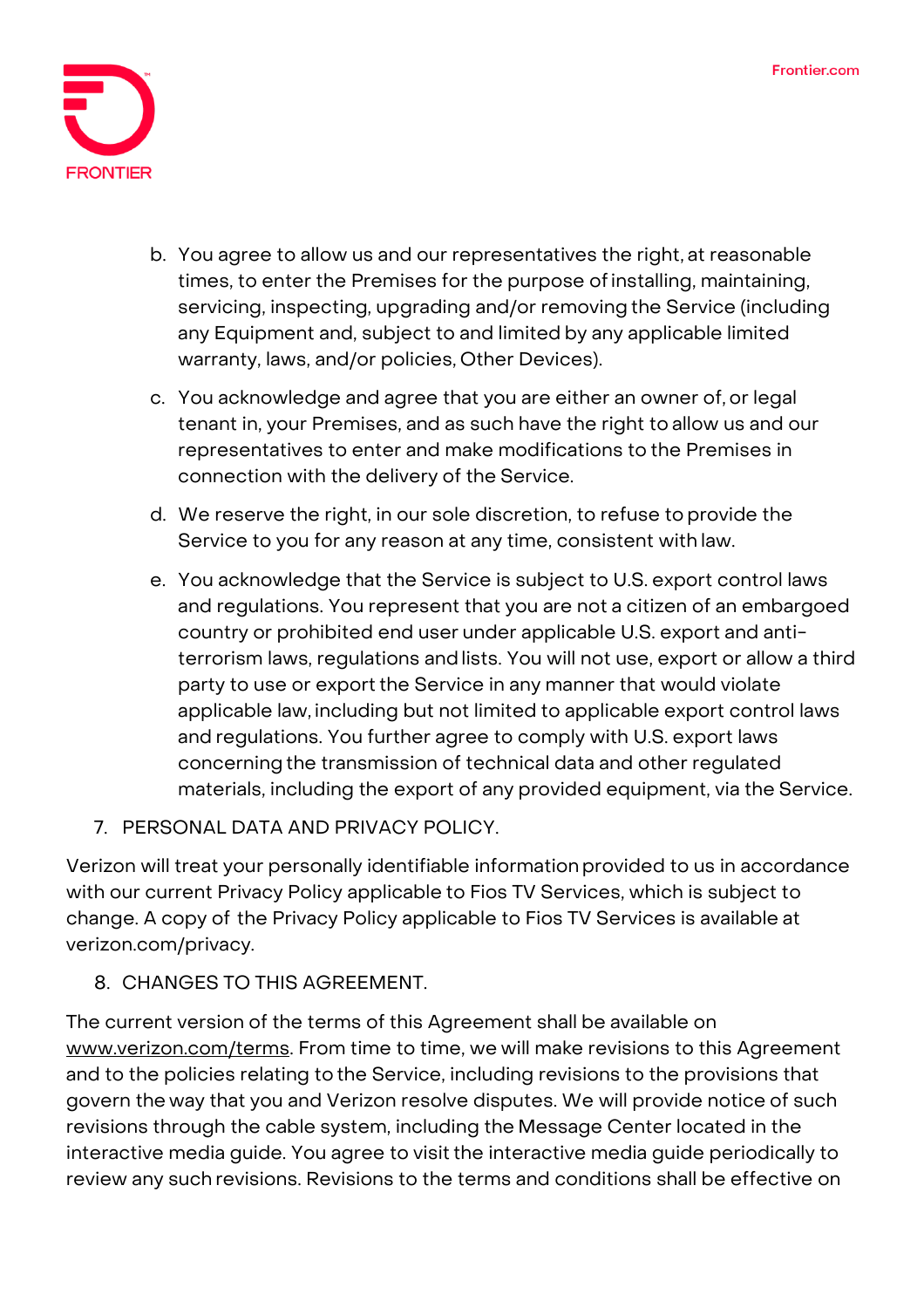

- b. You agree to allow us and our representatives the right, at reasonable times, to enter the Premises for the purpose ofinstalling, maintaining, servicing, inspecting, upgrading and/or removing the Service (including any Equipment and, subject to and limited by any applicable limited warranty, laws, and/or policies, Other Devices).
- c. You acknowledge and agree that you are either an owner of, or legal tenant in, your Premises, and as such have the right to allow us and our representatives to enter and make modifications to the Premises in connection with the delivery of the Service.
- d. We reserve the right, in our sole discretion, to refuse to provide the Service to you for any reason at any time, consistent with law.
- e. You acknowledge that the Service is subject to U.S. export control laws and regulations. You represent that you are not a citizen of an embargoed country or prohibited end user under applicable U.S. export and antiterrorism laws, regulations andlists. You will not use, export or allow a third party to use or export the Service in any manner that would violate applicable law, including but not limited to applicable export control laws and regulations. You further agree to comply with U.S. export laws concerning the transmission of technical data and other regulated materials, including the export of any provided equipment, via the Service.
- 7. PERSONAL DATA AND PRIVACY POLICY.

Verizon will treat your personally identifiable informationprovided to us in accordance with our current Privacy Policy applicable to Fios TV Services, which is subject to change. A copy of the Privacy Policy applicable to Fios TV Services is available at verizon.com/privacy.

8. CHANGES TO THIS AGREEMENT.

The current version of the terms of this Agreement shall be available on [www.verizon.com/terms.](http://www.verizon.com/terms) From time to time, we will make revisions to this Agreement and to the policies relating to the Service, including revisions to the provisions that govern the way that you and Verizon resolve disputes. We will provide notice of such revisions through the cable system, including the Message Center located in the interactive media guide. You agree to visit the interactive media guide periodically to review any such revisions. Revisions to the terms and conditions shall be effective on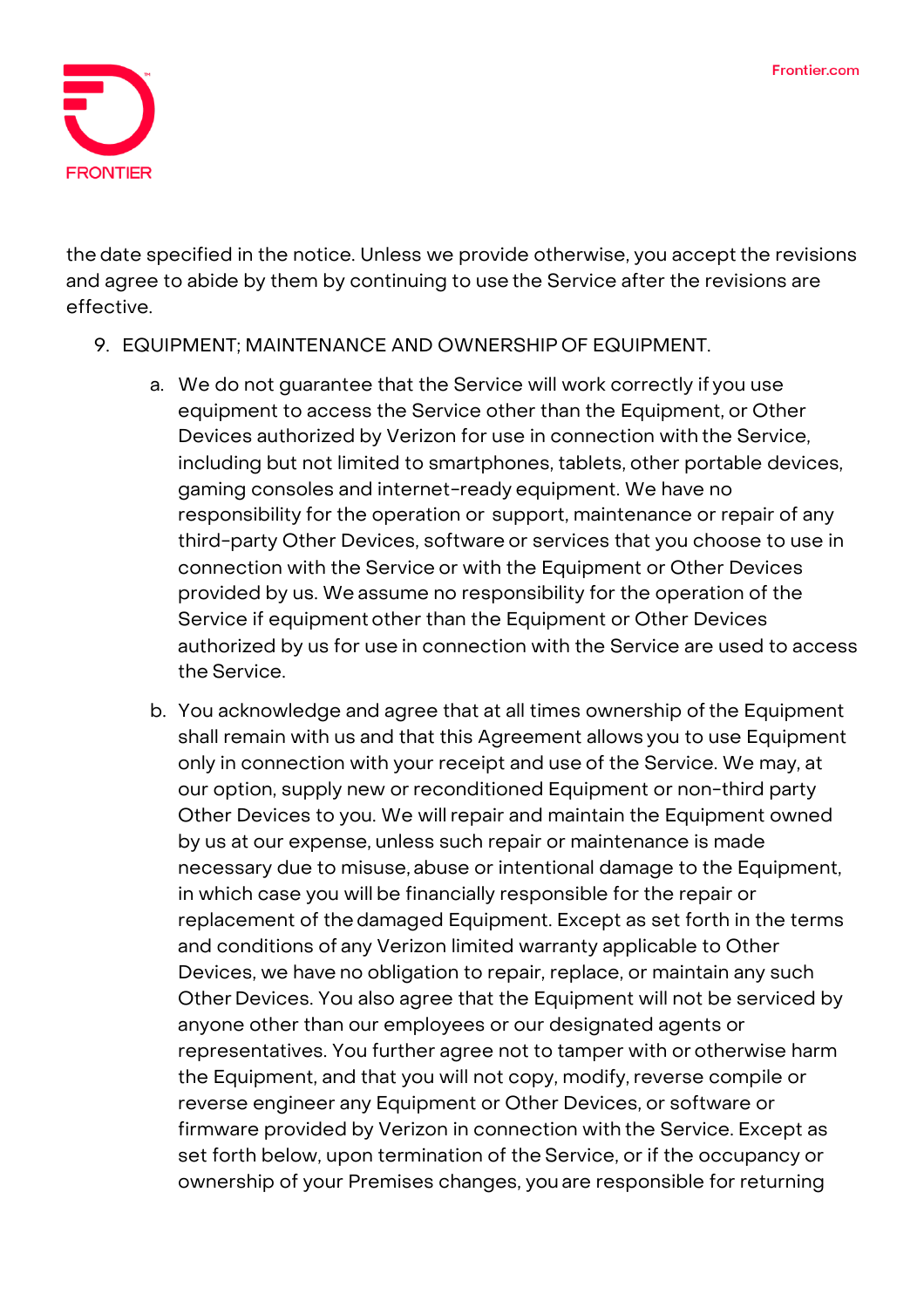

the date specified in the notice. Unless we provide otherwise, you accept the revisions and agree to abide by them by continuing to use the Service after the revisions are effective.

## 9. EQUIPMENT; MAINTENANCE AND OWNERSHIP OF EQUIPMENT.

- a. We do not guarantee that the Service will work correctly if you use equipment to access the Service other than the Equipment, or Other Devices authorized by Verizon for use in connection with the Service, including but not limited to smartphones, tablets, other portable devices, gaming consoles and internet-ready equipment. We have no responsibility for the operation or support, maintenance or repair of any third-party Other Devices, software or services that you choose to use in connection with the Service or with the Equipment or Other Devices provided by us. We assume no responsibility for the operation of the Service if equipment other than the Equipment or Other Devices authorized by us for use in connection with the Service are used to access the Service.
- b. You acknowledge and agree that at all times ownership of the Equipment shall remain with us and that this Agreement allows you to use Equipment only in connection with your receipt and use of the Service. We may, at our option, supply new or reconditioned Equipment or non-third party Other Devices to you. We willrepair and maintain the Equipment owned by us at our expense, unless such repair or maintenance is made necessary due to misuse, abuse or intentional damage to the Equipment, in which case you will be financially responsible for the repair or replacement of the damaged Equipment. Except as set forth in the terms and conditions of any Verizon limited warranty applicable to Other Devices, we have no obligation to repair, replace, or maintain any such Other Devices. You also agree that the Equipment will not be serviced by anyone other than our employees or our designated agents or representatives. You further agree not to tamper with or otherwise harm the Equipment, and that you will not copy, modify, reverse compile or reverse engineer any Equipment or Other Devices, or software or firmware provided by Verizon in connection with the Service. Except as set forth below, upon termination of the Service, or if the occupancy or ownership of your Premises changes, you are responsible for returning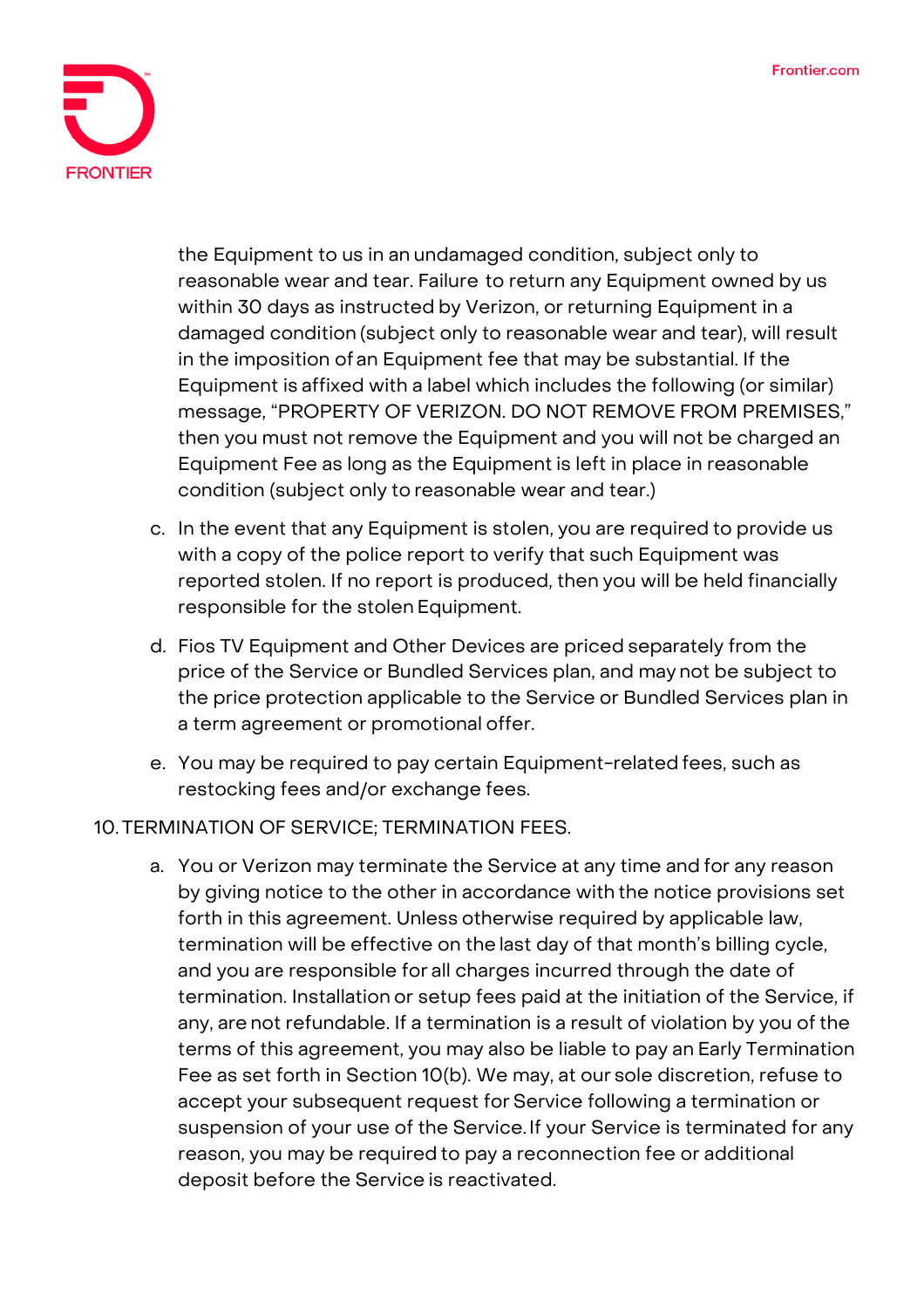

the Equipment to us in an undamaged condition, subject only to reasonable wear and tear. Failure to return any Equipment owned by us within 30 days as instructed by Verizon, or returning Equipment in a damaged condition (subject only to reasonable wear and tear), will result in the imposition of an Equipment fee that may be substantial. If the Equipment is affixed with a label which includes the following (or similar) message, "PROPERTY OF VERIZON. DO NOT REMOVE FROM PREMISES," then you must not remove the Equipment and you will not be charged an Equipment Fee as long as the Equipment is left in place in reasonable condition (subject only to reasonable wear and tear.)

- c. In the event that any Equipment is stolen, you are required to provide us with a copy of the police report to verify that such Equipment was reported stolen. If no report is produced, then you will be held financially responsible for the stolen Equipment.
- d. Fios TV Equipment and Other Devices are priced separately from the price of the Service or Bundled Services plan, and may not be subject to the price protection applicable to the Service or Bundled Services plan in a term agreement or promotional offer.
- e. You may be required to pay certain Equipment-related fees, such as restocking fees and/or exchange fees.

## 10. TERMINATION OF SERVICE; TERMINATION FEES.

a. You or Verizon may terminate the Service at any time and for any reason by giving notice to the other in accordance with the notice provisions set forth in this agreement. Unless otherwise required by applicable law, termination will be effective on the last day of that month's billing cycle, and you are responsible for all charges incurred through the date of termination. Installation or setup fees paid at the initiation of the Service, if any, are not refundable. If a termination is a result of violation by you of the terms of this agreement, you may also be liable to pay an Early Termination Fee as set forth in Section 10(b). We may, at our sole discretion, refuse to accept your subsequent request for Service following a termination or suspension of your use of the Service.If your Service is terminated for any reason, you may be required to pay a reconnection fee or additional deposit before the Service is reactivated.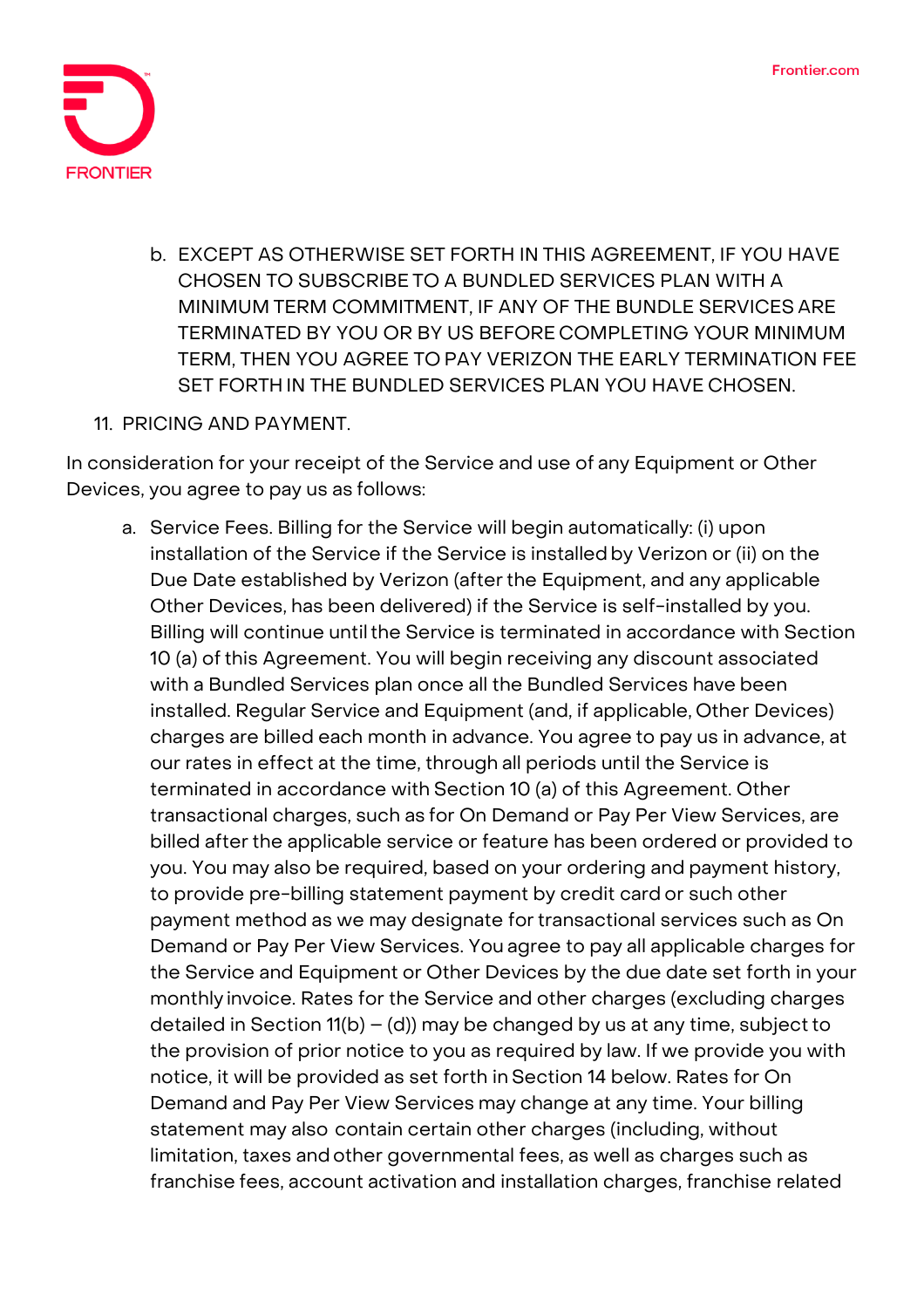

- b. EXCEPT AS OTHERWISE SET FORTH IN THIS AGREEMENT, IF YOU HAVE CHOSEN TO SUBSCRIBE TO A BUNDLED SERVICES PLAN WITH A MINIMUM TERM COMMITMENT, IF ANY OF THE BUNDLE SERVICES ARE TERMINATED BY YOU OR BY US BEFORE COMPLETING YOUR MINIMUM TERM, THEN YOU AGREE TO PAY VERIZON THE EARLY TERMINATION FEE SET FORTH IN THE BUNDLED SERVICES PLAN YOU HAVE CHOSEN.
- 11. PRICING AND PAYMENT.

In consideration for your receipt of the Service and use of any Equipment or Other Devices, you agree to pay us as follows:

a. Service Fees. Billing for the Service will begin automatically: (i) upon installation of the Service if the Service is installed by Verizon or (ii) on the Due Date established by Verizon (afterthe Equipment, and any applicable Other Devices, has been delivered) if the Service is self-installed by you. Billing will continue until the Service is terminated in accordance with Section 10 (a) of this Agreement. You will begin receiving any discount associated with a Bundled Services plan once all the Bundled Services have been installed. Regular Service and Equipment (and, if applicable, Other Devices) charges are billed each month in advance. You agree to pay us in advance, at our rates in effect at the time, through all periods until the Service is terminated in accordance with Section 10 (a) of this Agreement. Other transactional charges, such as for On Demand or Pay Per View Services, are billed after the applicable service or feature has been ordered or provided to you. You may also be required, based on your ordering and payment history, to provide pre-billing statement payment by credit card or such other payment method as we may designate for transactional services such as On Demand or Pay Per View Services. You agree to pay all applicable charges for the Service and Equipment or Other Devices by the due date set forth in your monthly invoice. Rates for the Service and other charges (excluding charges detailed in Section 11(b) – (d)) may be changed by us at any time, subject to the provision of prior notice to you as required by law. If we provide you with notice, it will be provided as set forth in Section 14 below. Rates for On Demand and Pay Per View Services may change at any time. Your billing statement may also contain certain other charges (including, without limitation, taxes andother governmental fees, as well as charges such as franchise fees, account activation and installation charges, franchise related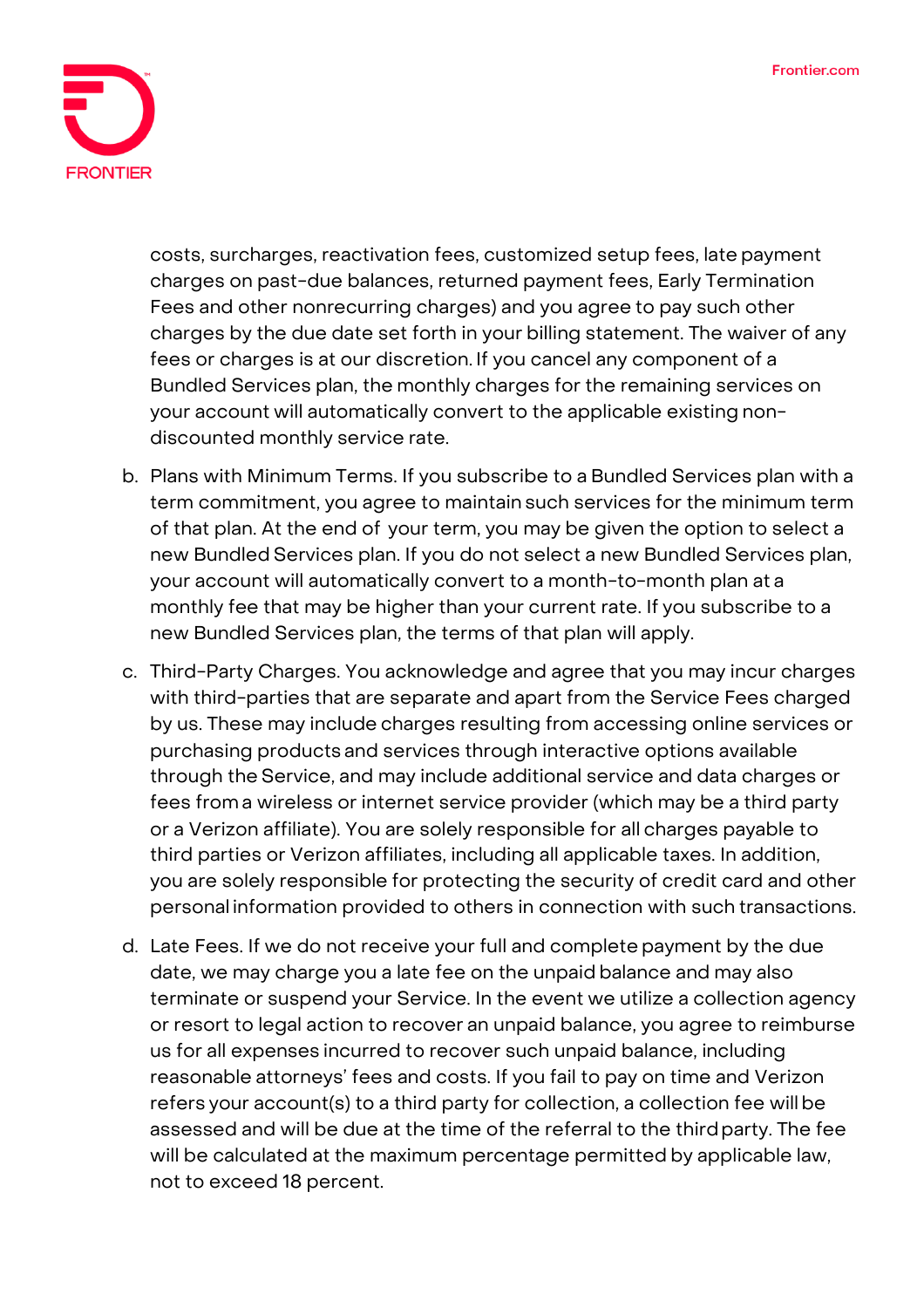

costs, surcharges, reactivation fees, customized setup fees, late payment charges on past-due balances, returned payment fees, Early Termination Fees and other nonrecurring charges) and you agree to pay such other charges by the due date set forth in your billing statement. The waiver of any fees or charges is at our discretion. If you cancel any component of a Bundled Services plan, the monthly charges for the remaining services on your account will automatically convert to the applicable existing nondiscounted monthly service rate.

- b. Plans with Minimum Terms. If you subscribe to a Bundled Services plan with a term commitment, you agree to maintain such services for the minimum term of that plan. At the end of your term, you may be given the option to select a new Bundled Services plan. If you do not select a new Bundled Services plan, your account will automatically convert to a month-to-month plan at a monthly fee that may be higher than your current rate. If you subscribe to a new Bundled Services plan, the terms of that plan will apply.
- c. Third-Party Charges. You acknowledge and agree that you may incur charges with third-parties that are separate and apart from the Service Fees charged by us. These may include charges resulting from accessing online services or purchasing products and services through interactive options available through the Service, and may include additional service and data charges or fees from a wireless or internet service provider (which may be a third party or a Verizon affiliate). You are solely responsible for all charges payable to third parties or Verizon affiliates, including all applicable taxes. In addition, you are solely responsible for protecting the security of credit card and other personal information provided to others in connection with such transactions.
- d. Late Fees. If we do not receive your full and complete payment by the due date, we may charge you a late fee on the unpaid balance and may also terminate or suspend your Service. In the event we utilize a collection agency or resort to legal action to recover an unpaid balance, you agree to reimburse us for all expenses incurred to recover such unpaid balance, including reasonable attorneys' fees and costs. If you fail to pay on time and Verizon refers your account(s) to a third party for collection, a collection fee willbe assessed and will be due at the time of the referral to the thirdparty. The fee will be calculated at the maximum percentage permitted by applicable law, not to exceed 18 percent.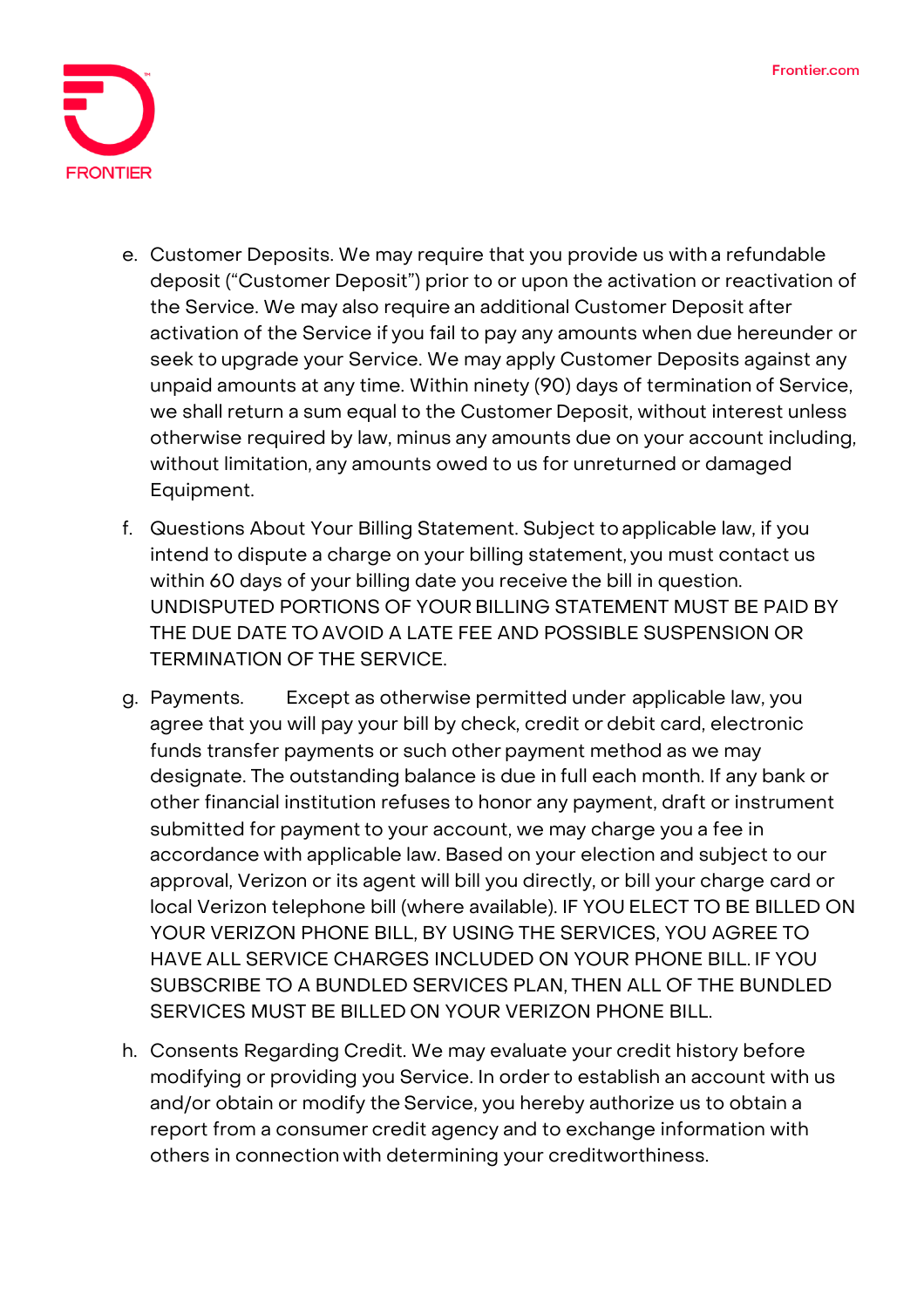

- e. Customer Deposits. We may require that you provide us with a refundable deposit ("Customer Deposit") prior to or upon the activation or reactivation of the Service. We may also require an additional Customer Deposit after activation of the Service if you fail to pay any amounts when due hereunder or seek to upgrade your Service. We may apply Customer Deposits against any unpaid amounts at any time. Within ninety (90) days of termination of Service, we shall return a sum equal to the Customer Deposit, without interest unless otherwise required by law, minus any amounts due on your account including, without limitation, any amounts owed to us for unreturned or damaged Equipment.
- f. Questions About Your Billing Statement. Subject to applicable law, if you intend to dispute a charge on your billing statement, you must contact us within 60 days of your billing date you receive the bill in question. UNDISPUTED PORTIONS OF YOUR BILLING STATEMENT MUST BE PAID BY THE DUE DATE TO AVOID A LATE FEE AND POSSIBLE SUSPENSION OR TERMINATION OF THE SERVICE.
- g. Payments. Except as otherwise permitted under applicable law, you agree that you will pay your bill by check, credit or debit card, electronic funds transfer payments or such other payment method as we may designate. The outstanding balance is due in full each month. If any bank or other financial institution refuses to honor any payment, draft or instrument submitted for payment to your account, we may charge you a fee in accordance with applicable law. Based on your election and subject to our approval, Verizon or its agent will bill you directly, or bill your charge card or local Verizon telephone bill (where available). IF YOU ELECT TO BE BILLED ON YOUR VERIZON PHONE BILL, BY USING THE SERVICES, YOU AGREE TO HAVE ALL SERVICE CHARGES INCLUDED ON YOUR PHONE BILL. IF YOU SUBSCRIBE TO A BUNDLED SERVICES PLAN, THEN ALL OF THE BUNDLED SERVICES MUST BE BILLED ON YOUR VERIZON PHONE BILL.
- **h.** Consents Regarding Credit. We may evaluate your credit history before modifying or providing you Service. In order to establish an account with us and/or obtain or modify the Service, you hereby authorize us to obtain a report from a consumer credit agency and to exchange information with others in connection with determining your creditworthiness.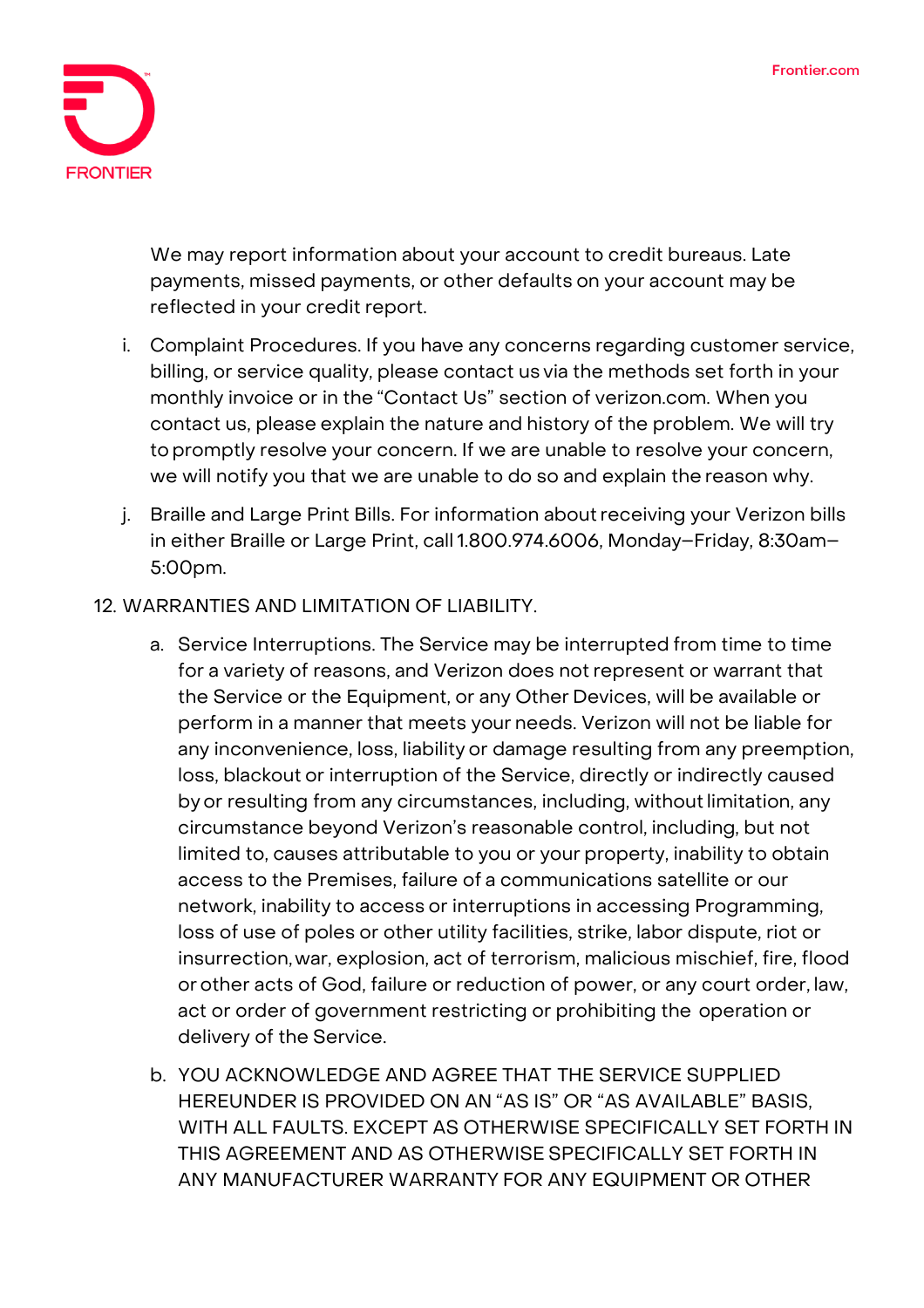

**We may report information about your account to credit bureaus. Late payments, missed payments, or other defaults on your account may be reflected in your credit report.**

- i. Complaint Procedures. If you have any concerns regarding customer service, billing, or service quality, please contact us via the methods set forth in your monthly invoice or in the "Contact Us" section of verizon.com. When you contact us, please explain the nature and history of the problem. We will try topromptly resolve your concern. If we are unable to resolve your concern, we will notify you that we are unable to do so and explain the reason why.
- j. Braille and Large Print Bills. For information aboutreceiving your Verizon bills in either Braille or Large Print, call 1.800.974.6006, Monday-Friday, 8:30am-5:00pm.

### 12. WARRANTIES AND LIMITATION OF LIABILITY.

- a. Service Interruptions. The Service may be interrupted from time to time for a variety of reasons, and Verizon does not represent or warrant that the Service or the Equipment, or any Other Devices, will be available or perform in a manner that meets your needs. Verizon will not be liable for any inconvenience, loss, liability or damage resulting from any preemption, loss, blackout or interruption of the Service, directly or indirectly caused by or resulting from any circumstances, including, without limitation, any circumstance beyond Verizon's reasonable control, including, but not limited to, causes attributable to you or your property, inability to obtain access to the Premises, failure of a communications satellite or our network, inability to access or interruptions in accessing Programming, loss of use of poles or other utility facilities, strike, labor dispute, riot or insurrection,war, explosion, act of terrorism, malicious mischief, fire, flood orother acts of God, failure or reduction of power, or any court order, law, act or order of government restricting or prohibiting the operation or delivery of the Service.
- b. YOU ACKNOWLEDGE AND AGREE THAT THE SERVICE SUPPLIED HEREUNDER IS PROVIDED ON AN "AS IS" OR "AS AVAILABLE" BASIS, WITH ALL FAULTS. EXCEPT AS OTHERWISE SPECIFICALLY SET FORTH IN THIS AGREEMENT AND AS OTHERWISE SPECIFICALLY SET FORTH IN ANY MANUFACTURER WARRANTY FOR ANY EQUIPMENT OR OTHER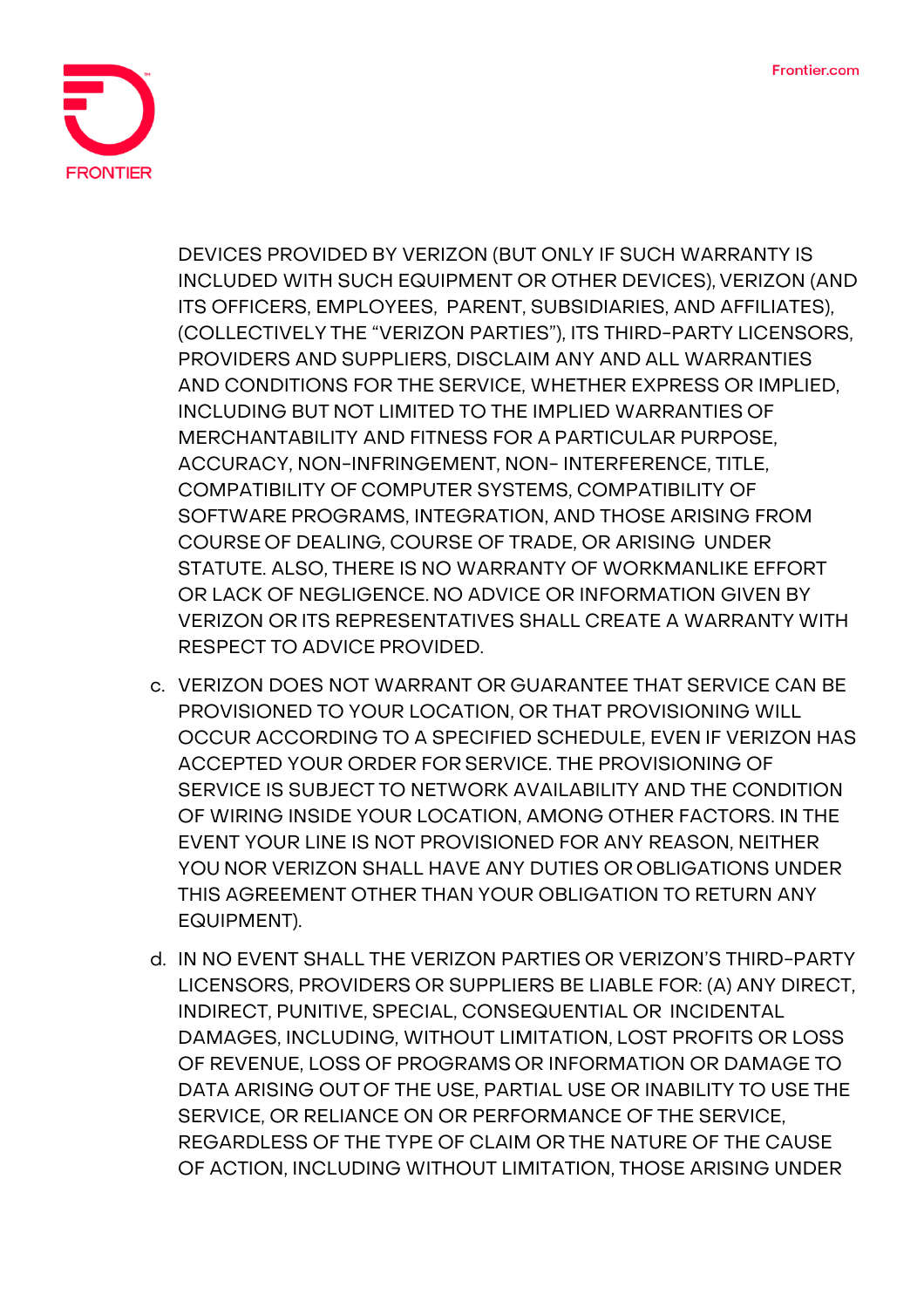

DEVICES PROVIDED BY VERIZON (BUT ONLY IF SUCH WARRANTY IS INCLUDED WITH SUCH EQUIPMENT OR OTHER DEVICES), VERIZON (AND ITS OFFICERS, EMPLOYEES, PARENT, SUBSIDIARIES, AND AFFILIATES), (COLLECTIVELY THE "VERIZON PARTIES"), ITS THIRD-PARTY LICENSORS, PROVIDERS AND SUPPLIERS, DISCLAIM ANY AND ALL WARRANTIES AND CONDITIONS FOR THE SERVICE, WHETHER EXPRESS OR IMPLIED, INCLUDING BUT NOT LIMITED TO THE IMPLIED WARRANTIES OF MERCHANTABILITY AND FITNESS FOR A PARTICULAR PURPOSE, ACCURACY, NON-INFRINGEMENT, NON- INTERFERENCE, TITLE, COMPATIBILITY OF COMPUTER SYSTEMS, COMPATIBILITY OF SOFTWARE PROGRAMS, INTEGRATION, AND THOSE ARISING FROM COURSE OF DEALING, COURSE OF TRADE, OR ARISING UNDER STATUTE. ALSO, THERE IS NO WARRANTY OF WORKMANLIKE EFFORT OR LACK OF NEGLIGENCE. NO ADVICE OR INFORMATION GIVEN BY VERIZON OR ITS REPRESENTATIVES SHALL CREATE A WARRANTY WITH RESPECT TO ADVICE PROVIDED.

- c. VERIZON DOES NOT WARRANT OR GUARANTEE THAT SERVICE CAN BE PROVISIONED TO YOUR LOCATION, OR THAT PROVISIONING WILL OCCUR ACCORDING TO A SPECIFIED SCHEDULE, EVEN IF VERIZON HAS ACCEPTED YOUR ORDER FOR SERVICE. THE PROVISIONING OF SERVICE IS SUBJECT TO NETWORK AVAILABILITY AND THE CONDITION OF WIRING INSIDE YOUR LOCATION, AMONG OTHER FACTORS. IN THE EVENT YOUR LINE IS NOT PROVISIONED FOR ANY REASON, NEITHER YOU NOR VERIZON SHALL HAVE ANY DUTIES OR OBLIGATIONS UNDER THIS AGREEMENT OTHER THAN YOUR OBLIGATION TO RETURN ANY EQUIPMENT).
- d. IN NO EVENT SHALL THE VERIZON PARTIES OR VERIZON'S THIRD-PARTY LICENSORS, PROVIDERS OR SUPPLIERS BE LIABLE FOR: (A) ANY DIRECT, INDIRECT, PUNITIVE, SPECIAL, CONSEQUENTIAL OR INCIDENTAL DAMAGES, INCLUDING, WITHOUT LIMITATION, LOST PROFITS OR LOSS OF REVENUE, LOSS OF PROGRAMS OR INFORMATION OR DAMAGE TO DATA ARISING OUT OF THE USE, PARTIAL USE OR INABILITY TO USE THE SERVICE, OR RELIANCE ON OR PERFORMANCE OF THE SERVICE, REGARDLESS OF THE TYPE OF CLAIM OR THE NATURE OF THE CAUSE OF ACTION, INCLUDING WITHOUT LIMITATION, THOSE ARISING UNDER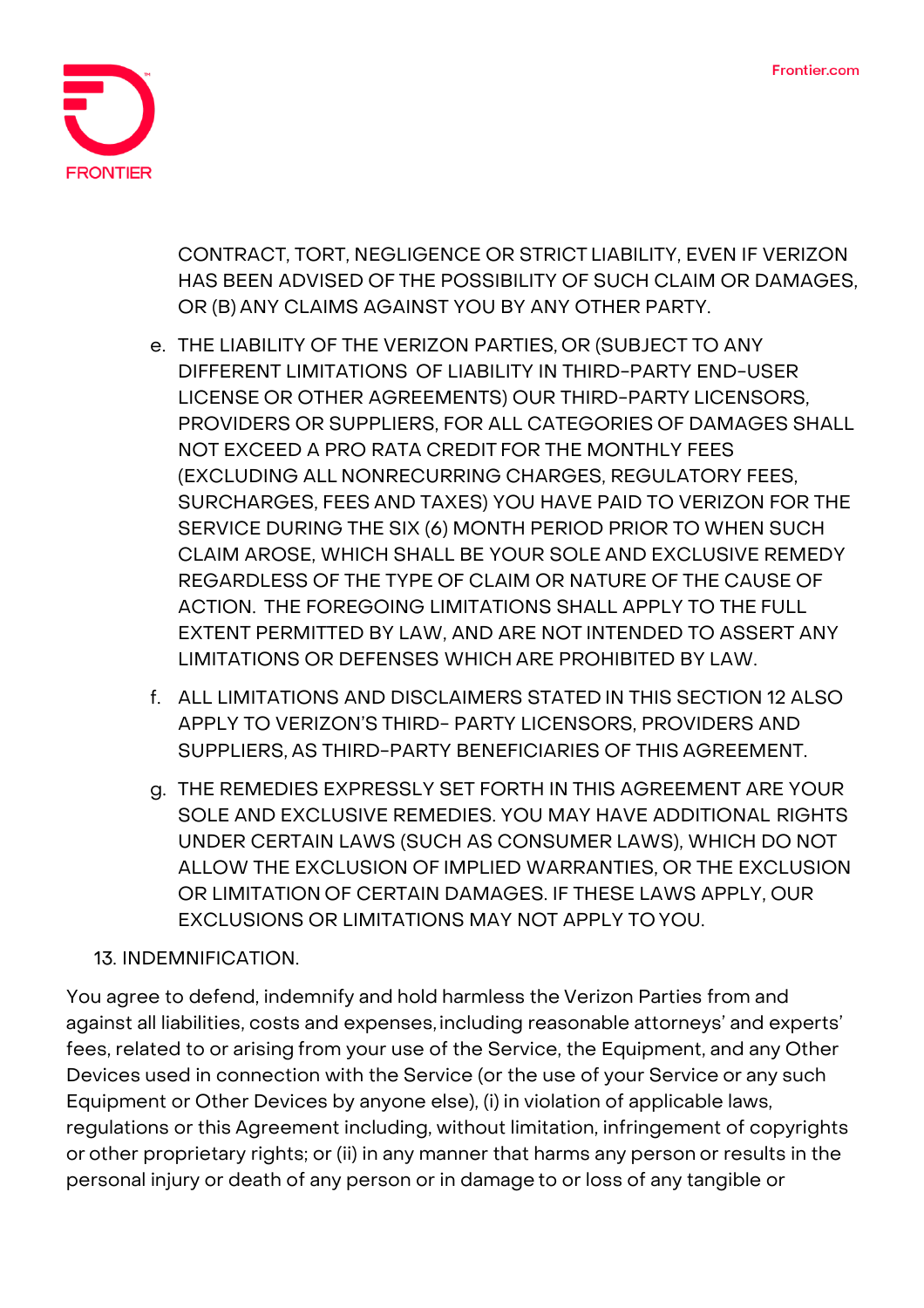

CONTRACT, TORT, NEGLIGENCE OR STRICT LIABILITY, EVEN IF VERIZON HAS BEEN ADVISED OF THE POSSIBILITY OF SUCH CLAIM OR DAMAGES, OR (B) ANY CLAIMS AGAINST YOU BY ANY OTHER PARTY.

- e. THE LIABILITY OF THE VERIZON PARTIES, OR (SUBJECT TO ANY DIFFERENT LIMITATIONS OF LIABILITY IN THIRD-PARTY END-USER LICENSE OR OTHER AGREEMENTS) OUR THIRD-PARTY LICENSORS, PROVIDERS OR SUPPLIERS, FOR ALL CATEGORIES OF DAMAGES SHALL NOT EXCEED A PRO RATA CREDIT FOR THE MONTHLY FEES (EXCLUDING ALL NONRECURRING CHARGES, REGULATORY FEES, SURCHARGES, FEES AND TAXES) YOU HAVE PAID TO VERIZON FOR THE SERVICE DURING THE SIX (6) MONTH PERIOD PRIOR TO WHEN SUCH CLAIM AROSE, WHICH SHALL BE YOUR SOLE AND EXCLUSIVE REMEDY REGARDLESS OF THE TYPE OF CLAIM OR NATURE OF THE CAUSE OF ACTION. THE FOREGOING LIMITATIONS SHALL APPLY TO THE FULL EXTENT PERMITTED BY LAW, AND ARE NOT INTENDED TO ASSERT ANY LIMITATIONS OR DEFENSES WHICH ARE PROHIBITED BY LAW.
- f. ALL LIMITATIONS AND DISCLAIMERS STATED IN THIS SECTION 12 ALSO APPLY TO VERIZON'S THIRD- PARTY LICENSORS, PROVIDERS AND SUPPLIERS, AS THIRD-PARTY BENEFICIARIES OF THIS AGREEMENT.
- g. THE REMEDIES EXPRESSLY SET FORTH IN THIS AGREEMENT ARE YOUR SOLE AND EXCLUSIVE REMEDIES. YOU MAY HAVE ADDITIONAL RIGHTS UNDER CERTAIN LAWS (SUCH AS CONSUMER LAWS), WHICH DO NOT ALLOW THE EXCLUSION OF IMPLIED WARRANTIES, OR THE EXCLUSION OR LIMITATION OF CERTAIN DAMAGES. IF THESE LAWS APPLY, OUR EXCLUSIONS OR LIMITATIONS MAY NOT APPLY TO YOU.

## 13. INDEMNIFICATION.

You agree to defend, indemnify and hold harmless the Verizon Parties from and against all liabilities, costs and expenses, including reasonable attorneys' and experts' fees, related to or arising from your use of the Service, the Equipment, and any Other Devices used in connection with the Service (or the use of your Service or any such Equipment or Other Devices by anyone else), (i) in violation of applicable laws, regulations or this Agreement including, without limitation, infringement of copyrights or other proprietary rights; or (ii) in any manner that harms any person or results in the personal injury or death of any person or in damage to or loss of any tangible or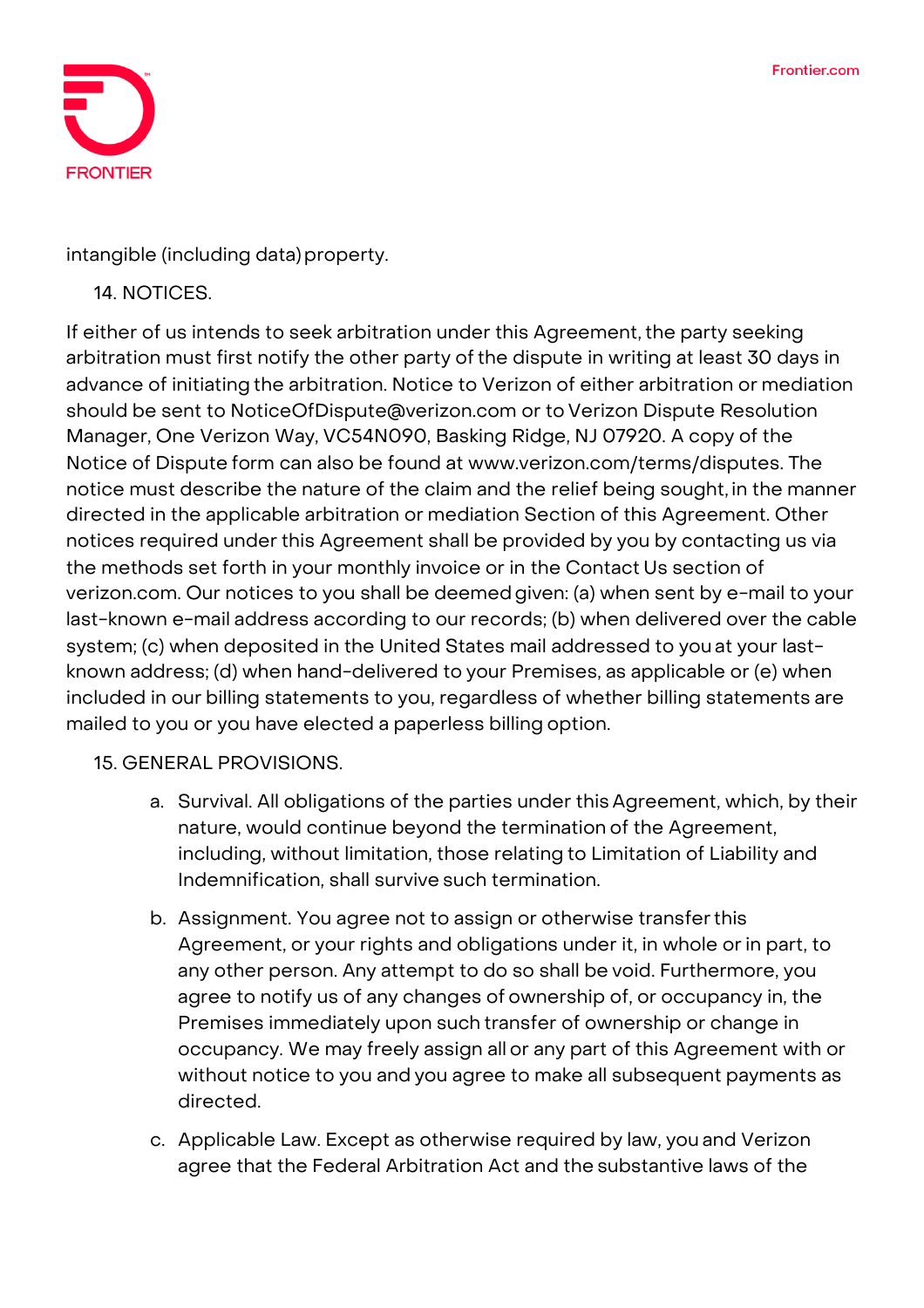

intangible (including data) property.

### 14. NOTICES.

If either of us intends to seek arbitration under this Agreement, the party seeking arbitration must first notify the other party of the dispute in writing at least 30 days in advance of initiating the arbitration. Notice to Verizon of either arbitration or mediation should be sent to [NoticeOfDispute@verizon.com](mailto:NoticeOfDispute@verizon.com) or to Verizon Dispute Resolution Manager, One Verizon Way, VC54N090, Basking Ridge, NJ 07920. A copy of the Notice of Dispute form can also be found at [www.verizon.com/terms/disputes.](http://www.verizon.com/terms/disputes) The notice must describe the nature of the claim and the relief being sought, in the manner directed in the applicable arbitration or mediation Section of this Agreement. Other notices required under this Agreement shall be provided by you by contacting us via the methods set forth in your monthly invoice or in the Contact Us section of verizon.com. Our notices to you shall be deemedgiven: (a) when sent by e-mail to your last-known e-mail address according to our records; (b) when delivered over the cable system; (c) when deposited in the United States mail addressed to you at your lastknown address; (d) when hand-delivered to your Premises, as applicable or (e) when included in our billing statements to you, regardless of whether billing statements are mailed to you or you have elected a paperless billing option.

#### 15. GENERAL PROVISIONS.

- a. Survival. All obligations of the parties under this Agreement, which, by their nature, would continue beyond the termination of the Agreement, including, without limitation, those relating to Limitation of Liability and Indemnification, shall survive such termination.
- b. Assignment. You agree not to assign or otherwise transferthis Agreement, or your rights and obligations under it, in whole or in part, to any other person. Any attempt to do so shall be void. Furthermore, you agree to notify us of any changes of ownership of, or occupancy in, the Premises immediately upon such transfer of ownership or change in occupancy. We may freely assign all or any part of this Agreement with or without notice to you and you agree to make all subsequent payments as directed.
- c. Applicable Law. Except as otherwise required by law, you and Verizon agree that the Federal Arbitration Act and the substantive laws of the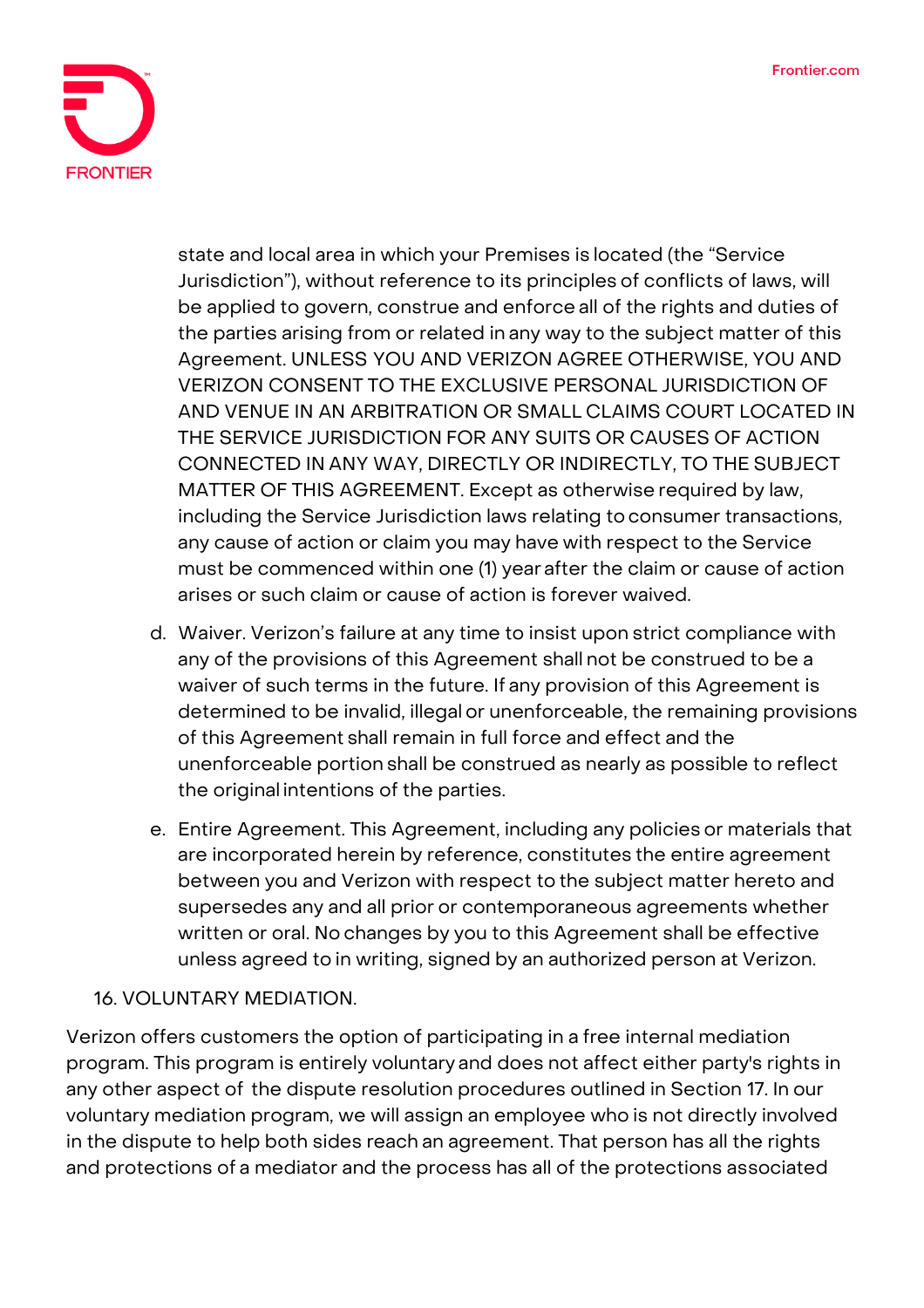

state and local area in which your Premises is located (the "Service Jurisdiction"), without reference to its principles of conflicts of laws, will be applied to govern, construe and enforce all of the rights and duties of the parties arising from or related in any way to the subject matter of this Agreement. UNLESS YOU AND VERIZON AGREE OTHERWISE, YOU AND VERIZON CONSENT TO THE EXCLUSIVE PERSONAL JURISDICTION OF AND VENUE IN AN ARBITRATION OR SMALL CLAIMS COURT LOCATED IN THE SERVICE JURISDICTION FOR ANY SUITS OR CAUSES OF ACTION CONNECTED IN ANY WAY, DIRECTLY OR INDIRECTLY, TO THE SUBJECT MATTER OF THIS AGREEMENT. Except as otherwise required by law, including the Service Jurisdiction laws relating to consumer transactions, any cause of action or claim you may have with respect to the Service must be commenced within one (1) year after the claim or cause of action arises or such claim or cause of action is forever waived.

- d. Waiver. Verizon's failure at any time to insist upon strict compliance with any of the provisions of this Agreement shall not be construed to be a waiver of such terms in the future. If any provision of this Agreement is determined to be invalid, illegal or unenforceable, the remaining provisions of this Agreement shall remain in full force and effect and the unenforceable portion shall be construed as nearly as possible to reflect the original intentions of the parties.
- e. Entire Agreement. This Agreement, including any policies or materials that are incorporated herein by reference, constitutes the entire agreement between you and Verizon with respect to the subject matter hereto and supersedes any and all prior or contemporaneous agreements whether written or oral. No changes by you to this Agreement shall be effective unless agreed to in writing, signed by an authorized person at Verizon.

## 16. VOLUNTARY MEDIATION.

Verizon offers customers the option of participating in a free internal mediation program. This program is entirely voluntary and does not affect either party's rights in any other aspect of the dispute resolution procedures outlined in Section 17. In our voluntary mediation program, we will assign an employee who is not directly involved in the dispute to help both sides reach an agreement. That person has all the rights and protections of a mediator and the process has all of the protections associated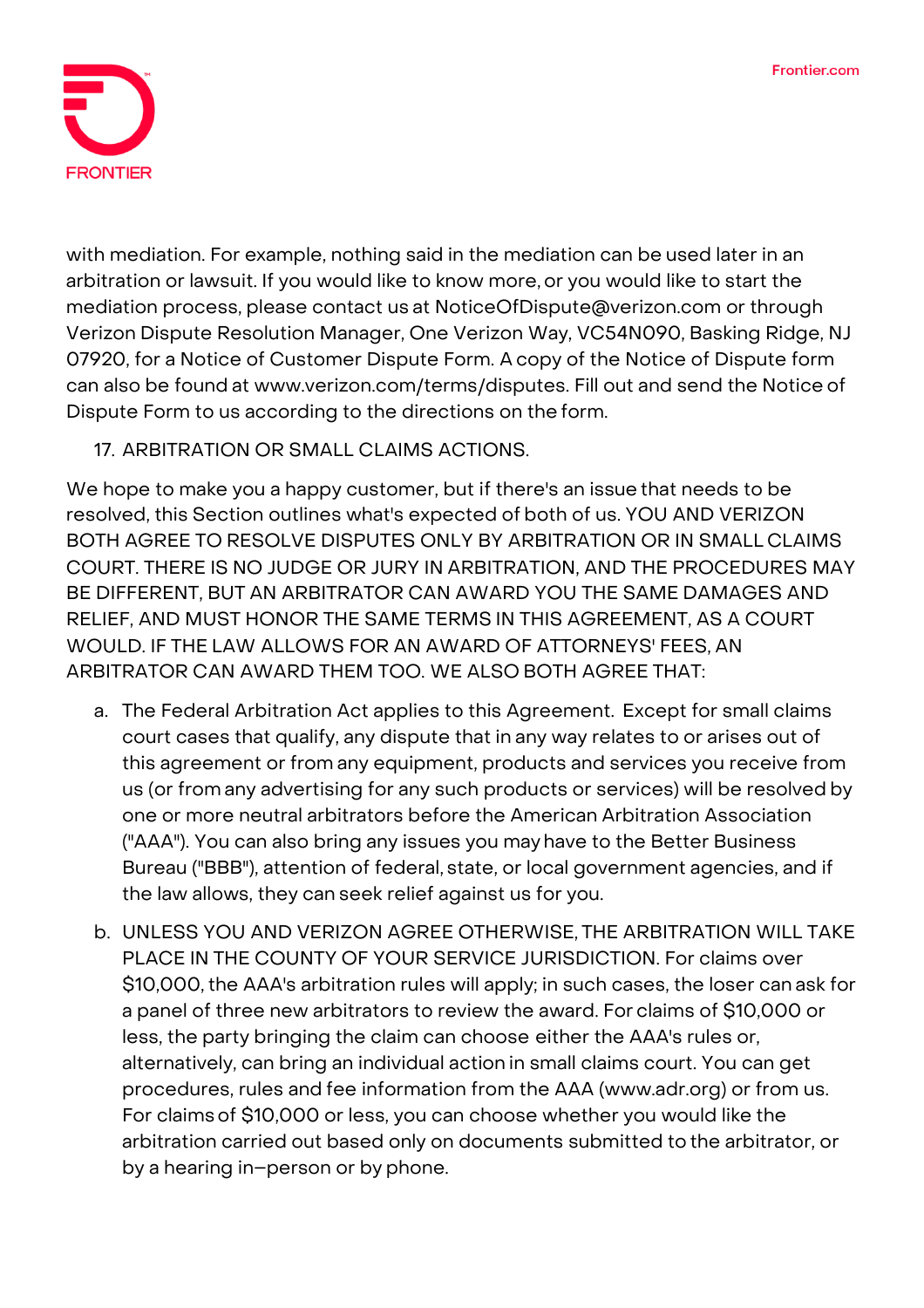

with mediation. For example, nothing said in the mediation can be used later in an arbitration or lawsuit. If you would like to know more, or you would like to start the mediation process, please contact us at [NoticeOfDispute@verizon.com](mailto:NoticeOfDispute@verizon.com) or through Verizon Dispute Resolution Manager, One Verizon Way, VC54N090, Basking Ridge, NJ 07920, for a Notice of Customer Dispute Form. A copy of the Notice of Dispute form can also be found at [www.verizon.com/terms/disputes.](http://www.verizon.com/terms/disputes) Fill out and send the Notice of Dispute Form to us according to the directions on the form.

17. ARBITRATION OR SMALL CLAIMS ACTIONS.

We hope to make you a happy customer, but if there's an issue that needs to be resolved, this Section outlines what's expected of both of us. YOU AND VERIZON BOTH AGREE TO RESOLVE DISPUTES ONLY BY ARBITRATION OR IN SMALL CLAIMS COURT. THERE IS NO JUDGE OR JURY IN ARBITRATION, AND THE PROCEDURES MAY BE DIFFERENT, BUT AN ARBITRATOR CAN AWARD YOU THE SAME DAMAGES AND RELIEF, AND MUST HONOR THE SAME TERMS IN THIS AGREEMENT, AS A COURT WOULD. IF THE LAW ALLOWS FOR AN AWARD OF ATTORNEYS' FEES, AN ARBITRATOR CAN AWARD THEM TOO. WE ALSO BOTH AGREE THAT:

- a. The Federal Arbitration Act applies to this Agreement. Except for small claims court cases that qualify, any dispute that in any way relates to or arises out of this agreement or from any equipment, products and services you receive from us (or from any advertising for any such products or services) will be resolved by one or more neutral arbitrators before the American Arbitration Association ("AAA"). You can also bring any issues you may have to the Better Business Bureau ("BBB"), attention of federal, state, or local government agencies, and if the law allows, they can seek relief against us for you.
- b. UNLESS YOU AND VERIZON AGREE OTHERWISE, THE ARBITRATION WILL TAKE PLACE IN THE COUNTY OF YOUR SERVICE JURISDICTION. For claims over \$10,000,the AAA's arbitration rules will apply; in such cases, the loser can ask for a panel of three new arbitrators to review the award. For claims of \$10,000 or less, the party bringing the claim can choose either the AAA's rules or, alternatively, can bring an individual action in small claims court. You can get procedures, rules and fee information from the AAA (www.adr.org) or from us. For claimsof \$10,000 or less, you can choose whether you would like the arbitration carried out based only on documents submitted to the arbitrator, or by a hearing in–person or by phone.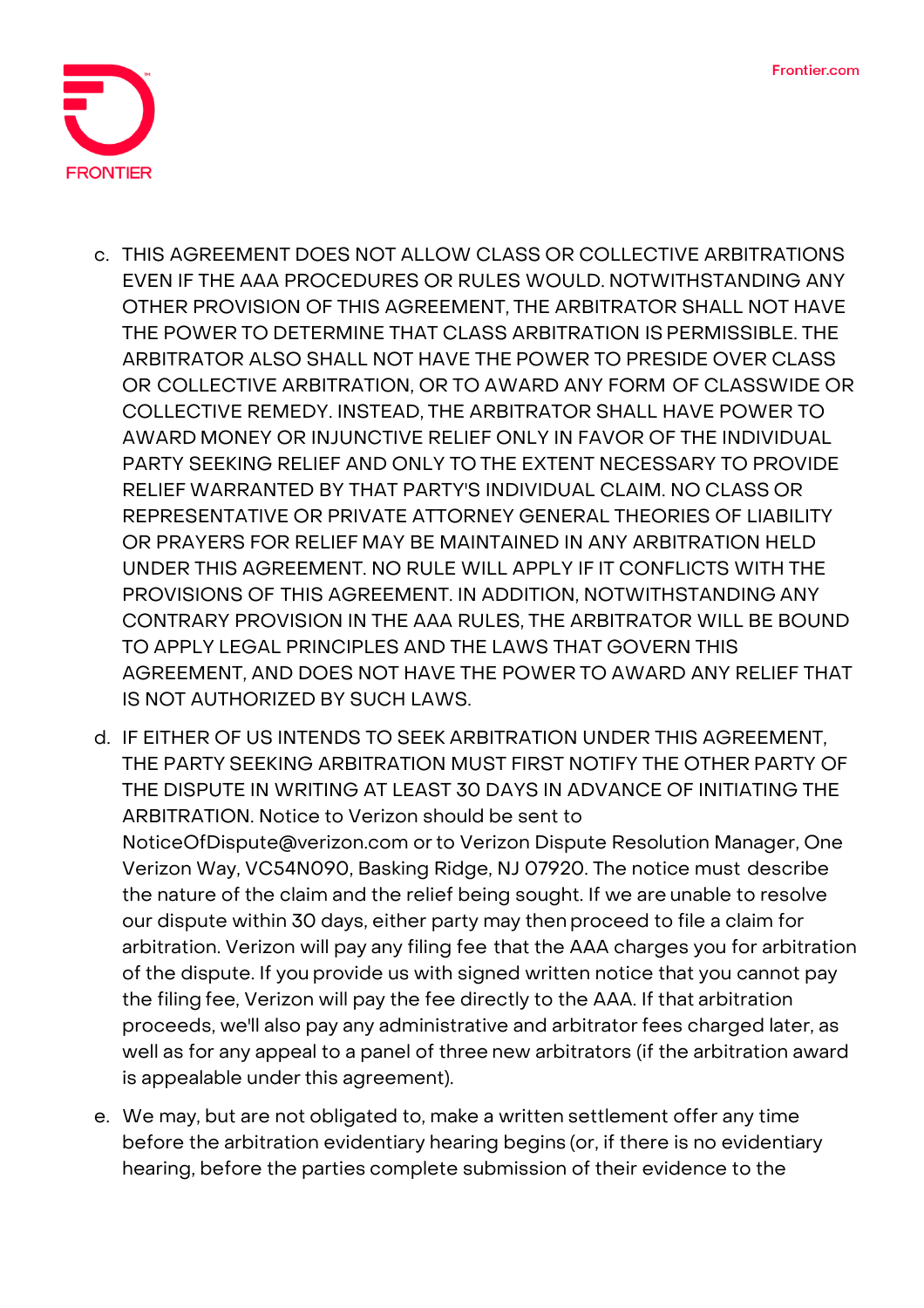

- c. THIS AGREEMENT DOES NOT ALLOW CLASS OR COLLECTIVE ARBITRATIONS EVEN IF THE AAA PROCEDURES OR RULES WOULD. NOTWITHSTANDING ANY OTHER PROVISION OF THIS AGREEMENT, THE ARBITRATOR SHALL NOT HAVE THE POWER TO DETERMINE THAT CLASS ARBITRATION IS PERMISSIBLE. THE ARBITRATOR ALSO SHALL NOT HAVE THE POWER TO PRESIDE OVER CLASS OR COLLECTIVE ARBITRATION, OR TO AWARD ANY FORM OF CLASSWIDE OR COLLECTIVE REMEDY. INSTEAD, THE ARBITRATOR SHALL HAVE POWER TO AWARD MONEY OR INJUNCTIVE RELIEF ONLY IN FAVOR OF THE INDIVIDUAL PARTY SEEKING RELIEF AND ONLY TO THE EXTENT NECESSARY TO PROVIDE RELIEF WARRANTED BY THAT PARTY'S INDIVIDUAL CLAIM. NO CLASS OR REPRESENTATIVE OR PRIVATE ATTORNEY GENERAL THEORIES OF LIABILITY OR PRAYERS FOR RELIEF MAY BE MAINTAINED IN ANY ARBITRATION HELD UNDER THIS AGREEMENT. NO RULE WILL APPLY IF IT CONFLICTS WITH THE PROVISIONS OF THIS AGREEMENT. IN ADDITION, NOTWITHSTANDING ANY CONTRARY PROVISION IN THE AAA RULES, THE ARBITRATOR WILL BE BOUND TO APPLY LEGAL PRINCIPLES AND THE LAWS THAT GOVERN THIS AGREEMENT, AND DOES NOT HAVE THE POWER TO AWARD ANY RELIEF THAT IS NOT AUTHORIZED BY SUCH LAWS.
- d. IF EITHER OF US INTENDS TO SEEK ARBITRATION UNDER THIS AGREEMENT, THE PARTY SEEKING ARBITRATION MUST FIRST NOTIFY THE OTHER PARTY OF THE DISPUTE IN WRITING AT LEAST 30 DAYS IN ADVANCE OF INITIATING THE ARBITRATION. Notice to Verizon should be sent to [NoticeOfDispute@verizon.com](mailto:NoticeOfDispute@verizon.com) orto Verizon Dispute Resolution Manager, One Verizon Way, VC54N090, Basking Ridge, NJ 07920. The notice must describe the nature of the claim and the relief being sought. If we are unable to resolve our dispute within 30 days, either party may thenproceed to file a claim for arbitration. Verizon will pay any filing fee that the AAA charges you for arbitration of the dispute. If you provide us with signed written notice that you cannot pay the filing fee, Verizon will pay the fee directly to the AAA. If that arbitration proceeds, we'll also pay any administrative and arbitrator fees charged later, as well as for any appeal to a panel of three new arbitrators (if the arbitration award is appealable under this agreement).
- e. We may, but are not obligated to, make a written settlement offer any time before the arbitration evidentiary hearing begins (or, if there is no evidentiary hearing, before the parties complete submission of their evidence to the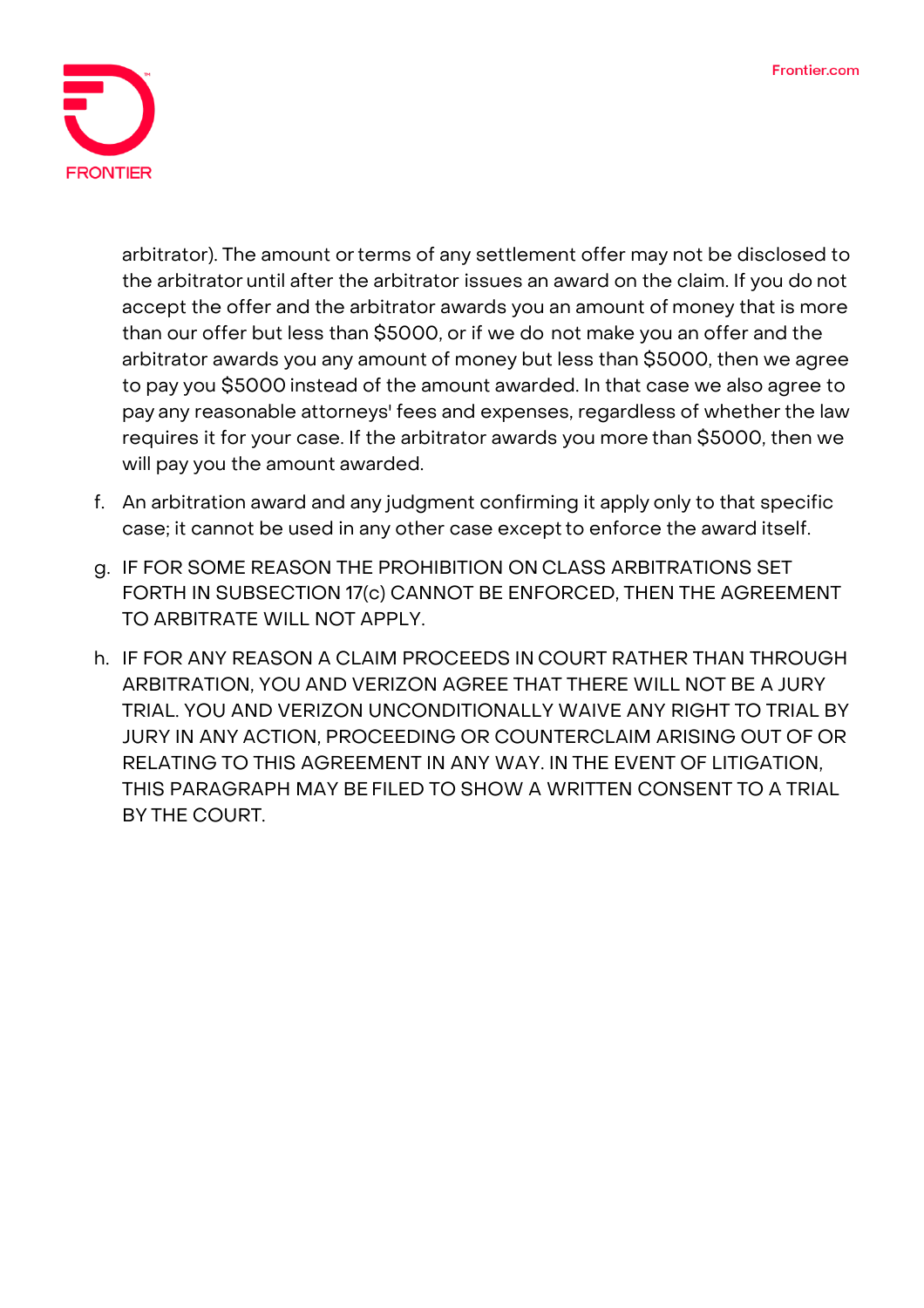

arbitrator). The amount or terms of any settlement offer may not be disclosed to the arbitrator until after the arbitrator issues an award on the claim. If you do not accept the offer and the arbitrator awards you an amount of money that is more than our offer but less than \$5000, or if we do not make you an offer and the arbitrator awards you any amount of money but less than \$5000, then we agree to pay you \$5000 instead of the amount awarded. In that case we also agree to pay any reasonable attorneys' fees and expenses, regardless of whether the law requires it for your case. If the arbitrator awards you more than \$5000, then we will pay you the amount awarded.

- f. An arbitration award and any judgment confirming it apply only to that specific case; it cannot be used in any other case except to enforce the award itself.
- g. IF FOR SOME REASON THE PROHIBITION ON CLASS ARBITRATIONS SET FORTH IN SUBSECTION 17(c) CANNOT BE ENFORCED, THEN THE AGREEMENT TO ARBITRATE WILL NOT APPLY.
- h. IF FOR ANY REASON A CLAIM PROCEEDS IN COURT RATHER THAN THROUGH ARBITRATION, YOU AND VERIZON AGREE THAT THERE WILL NOT BE A JURY TRIAL. YOU AND VERIZON UNCONDITIONALLY WAIVE ANY RIGHT TO TRIAL BY JURY IN ANY ACTION, PROCEEDING OR COUNTERCLAIM ARISING OUT OF OR RELATING TO THIS AGREEMENT IN ANY WAY. IN THE EVENT OF LITIGATION, THIS PARAGRAPH MAY BE FILED TO SHOW A WRITTEN CONSENT TO A TRIAL BY THE COURT.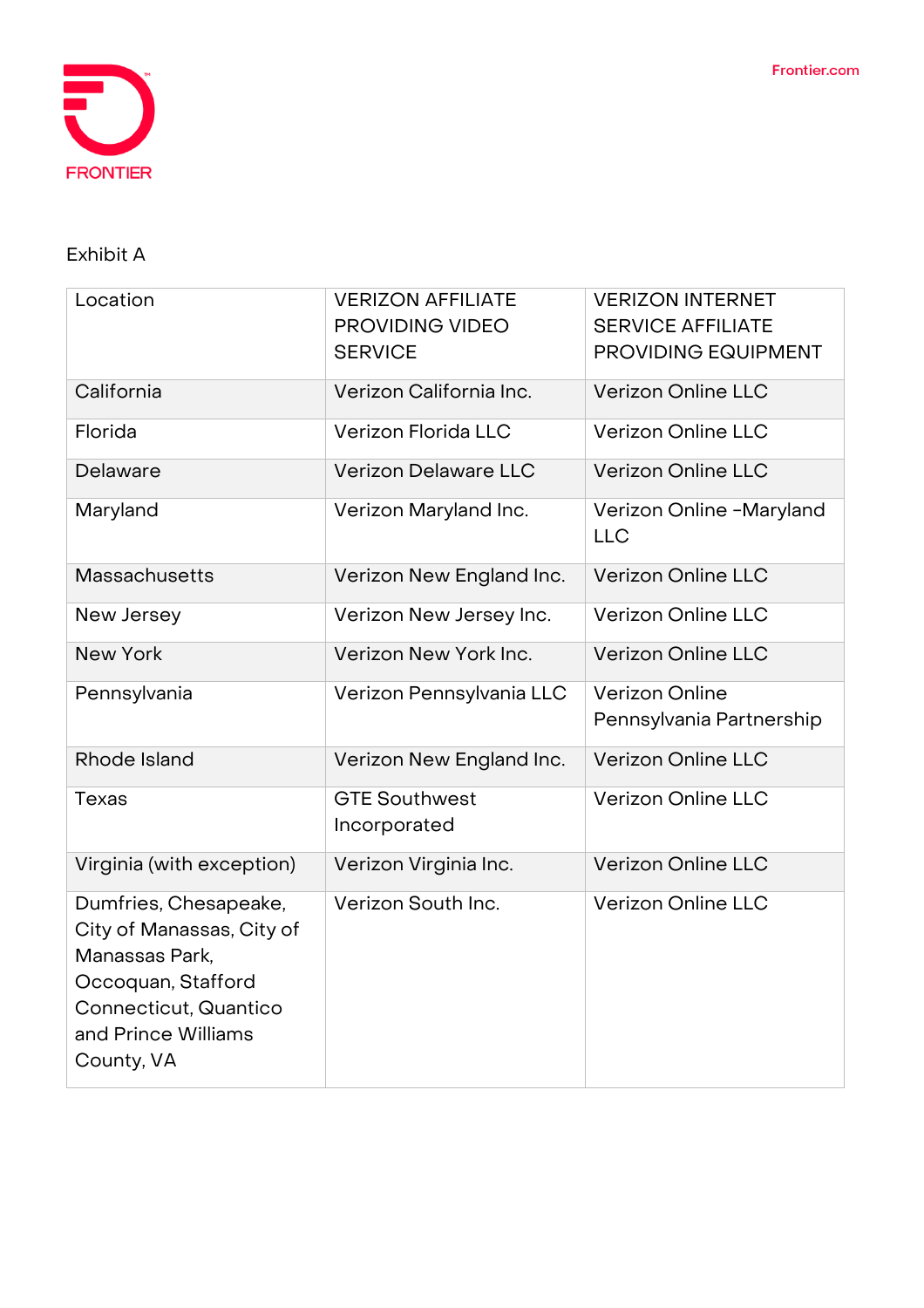

# **Exhibit A**

| Location                                                                                                                                                 | <b>VERIZON AFFILIATE</b><br>PROVIDING VIDEO<br><b>SERVICE</b> | <b>VERIZON INTERNET</b><br><b>SERVICE AFFILIATE</b><br>PROVIDING EQUIPMENT |
|----------------------------------------------------------------------------------------------------------------------------------------------------------|---------------------------------------------------------------|----------------------------------------------------------------------------|
| California                                                                                                                                               | Verizon California Inc.                                       | <b>Verizon Online LLC</b>                                                  |
| Florida                                                                                                                                                  | Verizon Florida LLC                                           | <b>Verizon Online LLC</b>                                                  |
| Delaware                                                                                                                                                 | Verizon Delaware LLC                                          | <b>Verizon Online LLC</b>                                                  |
| Maryland                                                                                                                                                 | Verizon Maryland Inc.                                         | Verizon Online -Maryland<br><b>LLC</b>                                     |
| Massachusetts                                                                                                                                            | Verizon New England Inc.                                      | <b>Verizon Online LLC</b>                                                  |
| New Jersey                                                                                                                                               | Verizon New Jersey Inc.                                       | <b>Verizon Online LLC</b>                                                  |
| <b>New York</b>                                                                                                                                          | Verizon New York Inc.                                         | <b>Verizon Online LLC</b>                                                  |
| Pennsylvania                                                                                                                                             | Verizon Pennsylvania LLC                                      | <b>Verizon Online</b><br>Pennsylvania Partnership                          |
| Rhode Island                                                                                                                                             | Verizon New England Inc.                                      | <b>Verizon Online LLC</b>                                                  |
| <b>Texas</b>                                                                                                                                             | <b>GTE Southwest</b><br>Incorporated                          | <b>Verizon Online LLC</b>                                                  |
| Virginia (with exception)                                                                                                                                | Verizon Virginia Inc.                                         | <b>Verizon Online LLC</b>                                                  |
| Dumfries, Chesapeake,<br>City of Manassas, City of<br>Manassas Park,<br>Occoquan, Stafford<br>Connecticut, Quantico<br>and Prince Williams<br>County, VA | Verizon South Inc.                                            | <b>Verizon Online LLC</b>                                                  |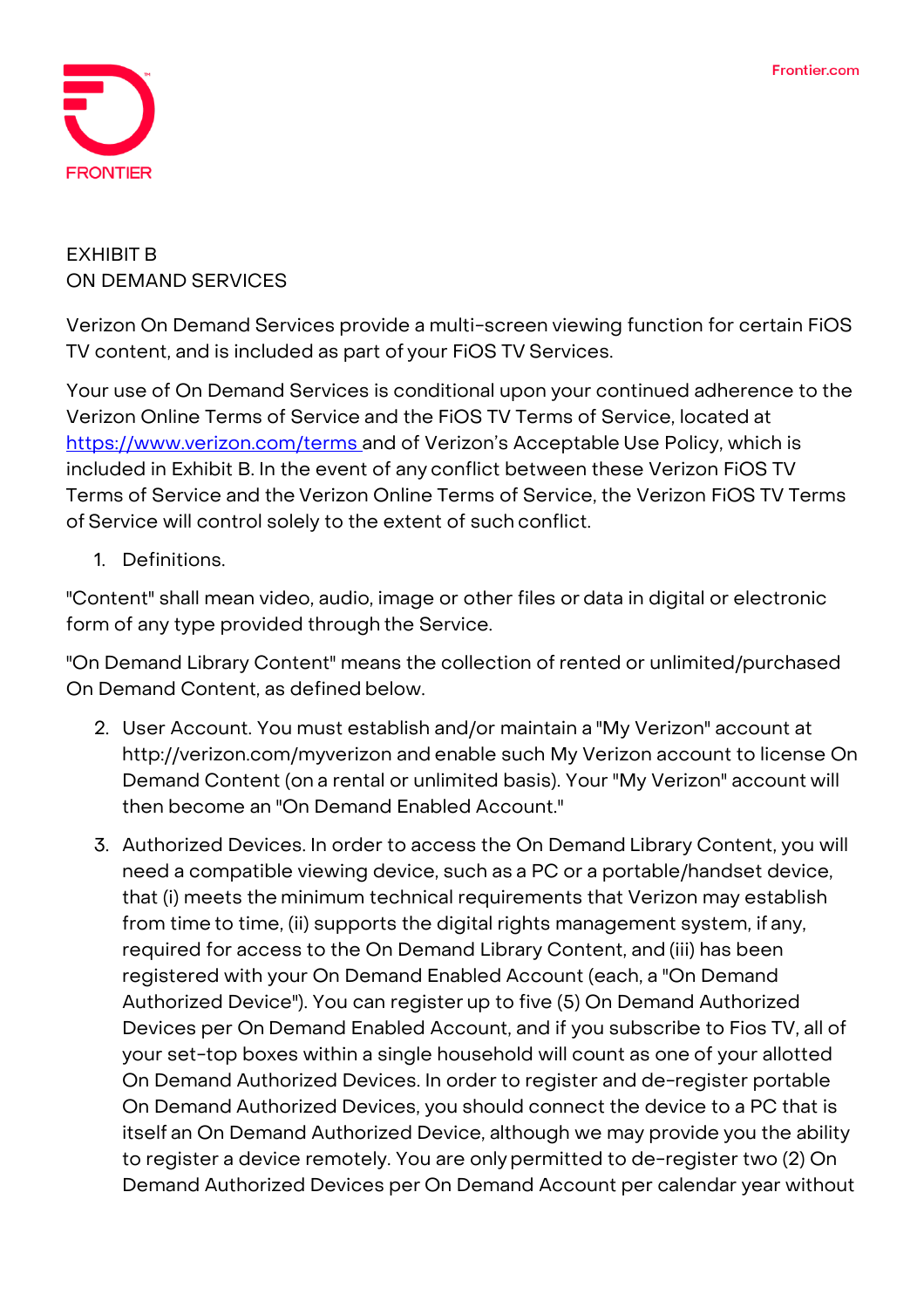

# **EXHIBIT B ON DEMAND SERVICES**

Verizon On Demand Services provide a multi-screen viewing function for certain FiOS TV content, and is included as part of your FiOS TV Services.

Your use of On Demand Services is conditional upon your continued adherence to the Verizon Online Terms of Service and the FiOS TV Terms of Service, located at <https://www.verizon.com/terms>and of Verizon's Acceptable Use Policy, which is included in Exhibit B. In the event of any conflict between these Verizon FiOS TV Terms of Service and the Verizon Online Terms of Service, the Verizon FiOS TV Terms of Service will control solely to the extent of such conflict.

1. Definitions.

"Content" shall mean video, audio, image or other files or data in digital or electronic form of any type provided through the Service.

"On Demand Library Content" means the collection of rented or unlimited/purchased On Demand Content, as defined below.

- 2. User Account. You must establish and/or maintain a "My Verizon" account at <http://verizon.com/myverizon> and enable such My Verizon account to license On Demand Content (on a rental or unlimited basis). Your "My Verizon" account will then become an "On Demand Enabled Account."
- 3. Authorized Devices. In order to access the On Demand Library Content, you will need a compatible viewing device, such as a PC or a portable/handset device, that (i) meets the minimum technical requirements that Verizon may establish from time to time, (ii) supports the digital rights management system, if any, required for access to the On Demand Library Content, and (iii) has been registered with your On Demand Enabled Account (each, a "On Demand Authorized Device"). You can register up to five (5) On Demand Authorized Devices per On Demand Enabled Account, and if you subscribe to Fios TV, all of your set-top boxes within a single household will count as one of your allotted On Demand Authorized Devices. In order to register and de-register portable On Demand Authorized Devices, you should connect the device to a PC that is itself an On Demand Authorized Device, although we may provide you the ability to register a device remotely. You are onlypermitted to de-register two (2) On Demand Authorized Devices per On Demand Account per calendar year without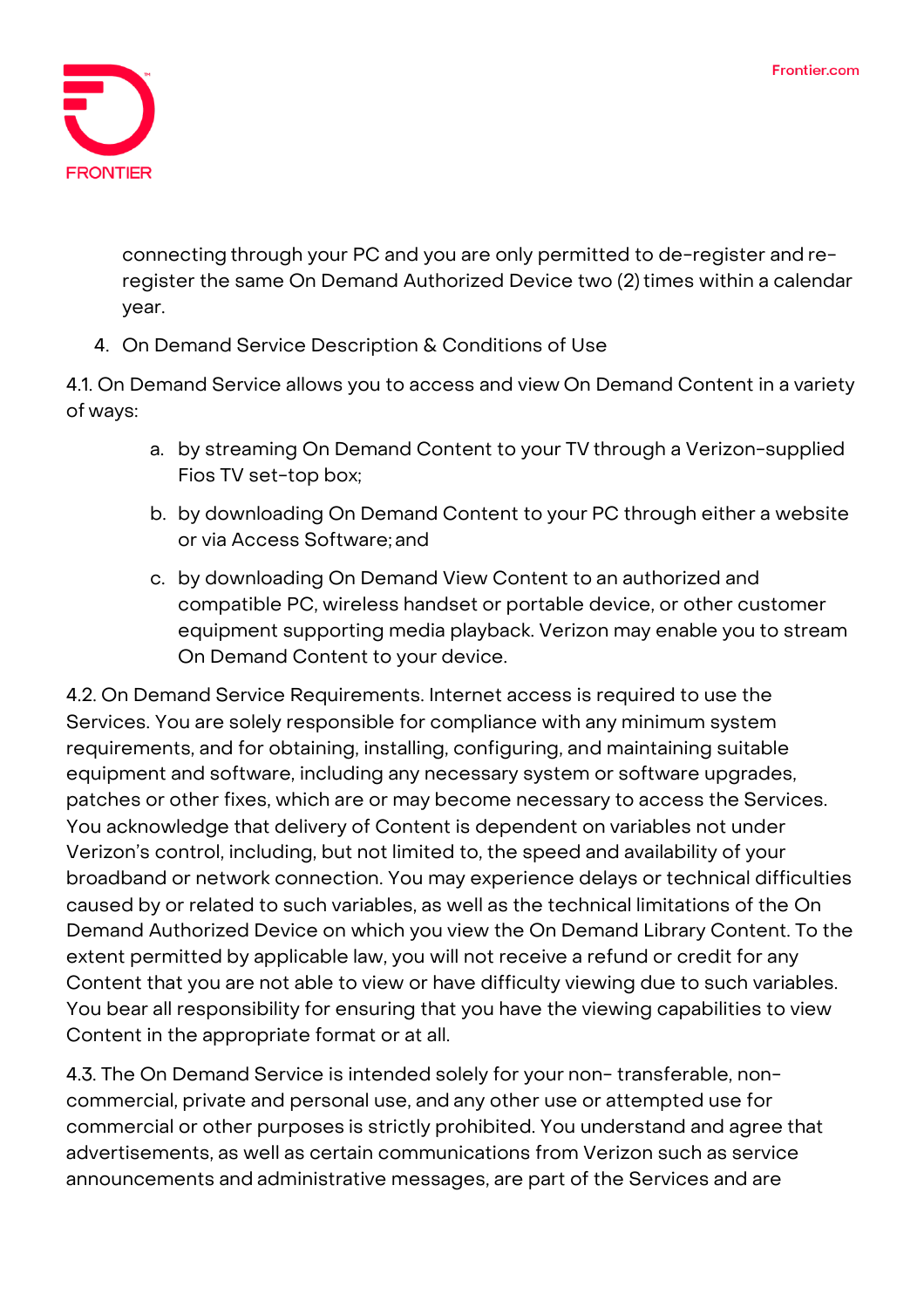

connecting through your PC and you are only permitted to de-register and reregister the same On Demand Authorized Device two (2) times within a calendar year.

4. On Demand Service Description & Conditions of Use

4.1. On Demand Service allows you to access and view On Demand Content in a variety of ways:

- a. by streaming On Demand Content to your TV through a Verizon-supplied Fios TV set-top box;
- b. by downloading On Demand Content to your PC through either a website or via Access Software; and
- c. by downloading On Demand View Content to an authorized and compatible PC, wireless handset or portable device, or other customer equipment supporting media playback. Verizon may enable you to stream On Demand Content to your device.

4.2. On Demand Service Requirements. Internet access is required to use the Services. You are solely responsible for compliance with any minimum system requirements, and for obtaining, installing, configuring, and maintaining suitable equipment and software, including any necessary system or software upgrades, patches or other fixes, which are or may become necessary to access the Services. You acknowledge that delivery of Content is dependent on variables not under Verizon's control, including, but not limited to, the speed and availability of your broadband or network connection. You may experience delays or technical difficulties caused by or related to such variables, as well as the technical limitations of the On Demand Authorized Device on which you view the On Demand Library Content. To the extent permitted by applicable law, you will not receive a refund or credit for any Content that you are not able to view or have difficulty viewing due to such variables. You bear all responsibility for ensuring that you have the viewing capabilities to view Content in the appropriate format or at all.

4.3. The On Demand Service is intended solely for your non- transferable, noncommercial, private and personal use, and any other use or attempted use for commercial or other purposes is strictly prohibited. You understand and agree that advertisements, as well as certain communications from Verizon such as service announcements and administrative messages, are part of the Services and are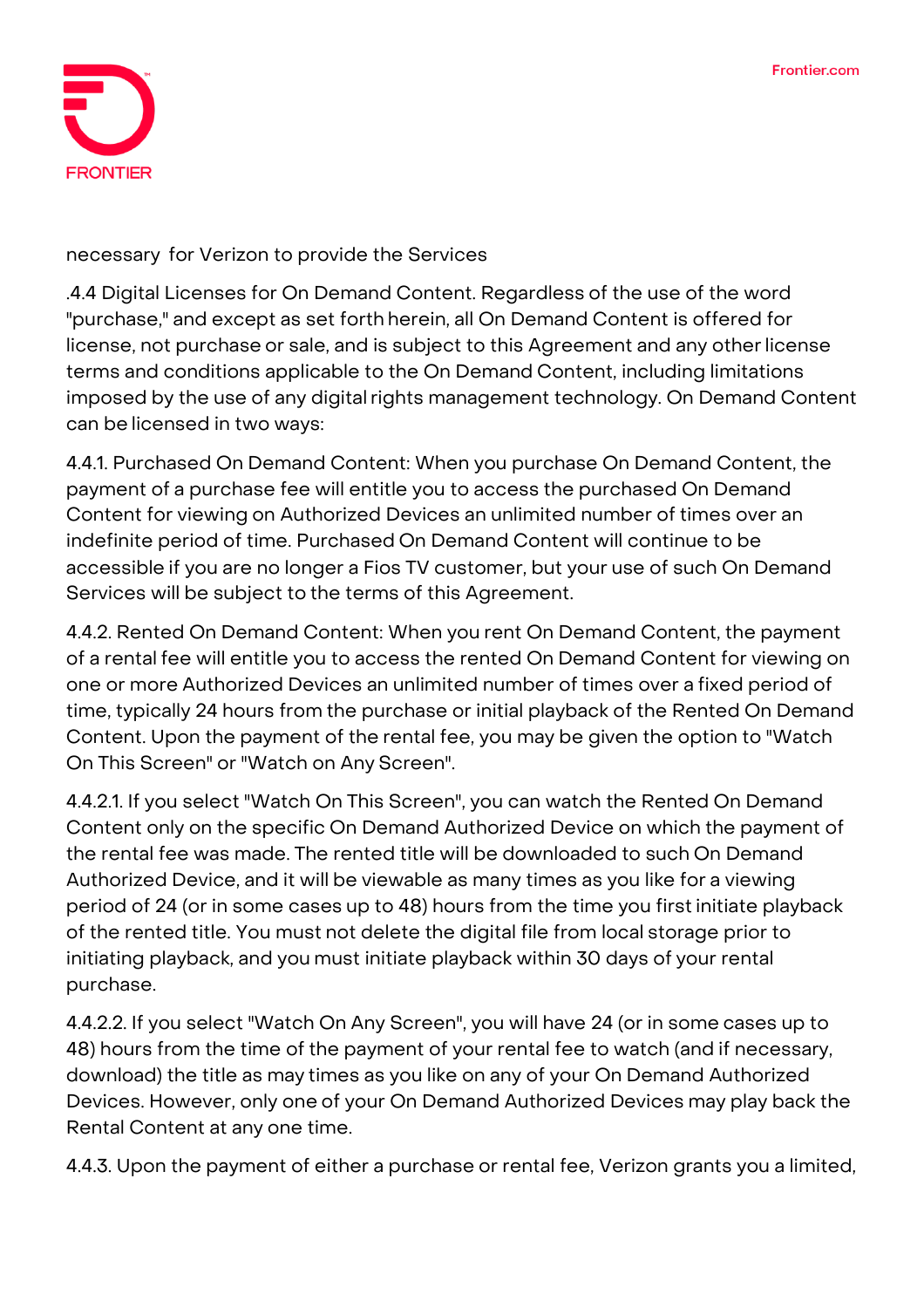

#### necessary for Verizon to provide the Services

.4.4 Digital Licenses for On Demand Content. Regardless of the use of the word "purchase," and except as set forth herein, all On Demand Content is offered for license, not purchase or sale, and is subject to this Agreement and any other license terms and conditions applicable to the On Demand Content, including limitations imposed by the use of any digital rights management technology. On Demand Content can be licensed in two ways:

4.4.1. Purchased On Demand Content: When you purchase On Demand Content, the payment of a purchase fee will entitle you to access the purchased On Demand Content for viewing on Authorized Devices an unlimited number of times over an indefinite period of time. Purchased On Demand Content will continue to be accessible if you are no longer a Fios TV customer, but your use of such On Demand Services will be subject to the terms of this Agreement.

4.4.2. Rented On Demand Content: When you rent On Demand Content, the payment of a rental fee will entitle you to access the rented On Demand Content for viewing on one or more Authorized Devices an unlimited number of times over a fixed period of time, typically 24 hours from the purchase or initial playback of the Rented On Demand Content. Upon the payment of the rental fee, you may be given the option to "Watch On This Screen" or "Watch on Any Screen".

4.4.2.1. If you select "Watch On This Screen", you can watch the Rented On Demand Content only on the specific On Demand Authorized Device on which the payment of the rental fee was made. The rented title will be downloaded to such On Demand Authorized Device, and it will be viewable as many times as you like for a viewing period of 24 (or in some cases up to 48) hours from the time you firstinitiate playback of the rented title. You must not delete the digital file from local storage prior to initiating playback, and you must initiate playback within 30 days of your rental purchase.

4.4.2.2. If you select "Watch On Any Screen", you will have 24 (or in some cases up to 48) hours from the time of the payment of your rental fee to watch (and if necessary, download) the title as may times as you like on any of your On Demand Authorized Devices. However, only one of your On Demand Authorized Devices may play back the Rental Content at any one time.

4.4.3. Upon the payment of either a purchase or rental fee, Verizon grants you a limited,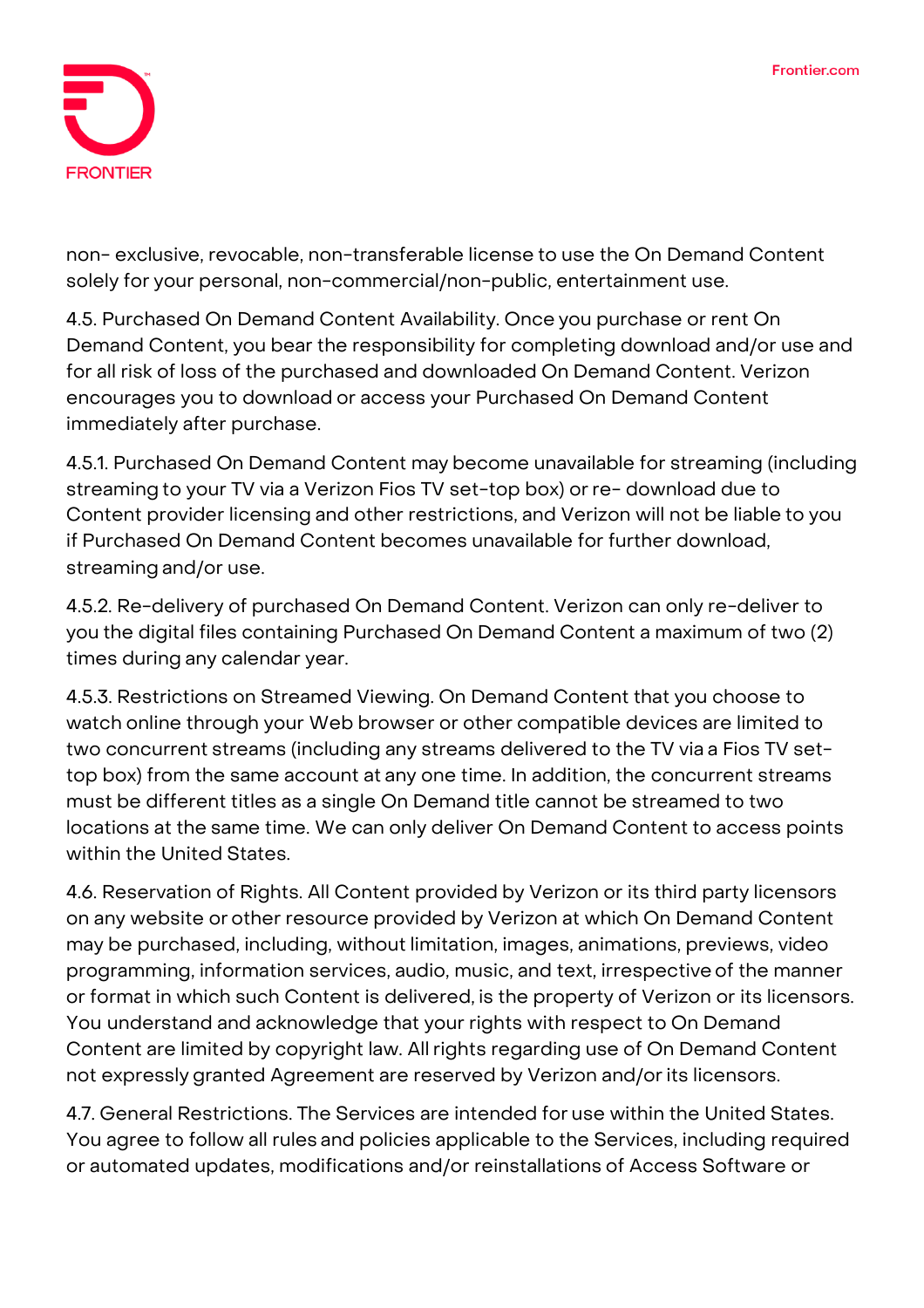

non- exclusive, revocable, non-transferable license to use the On Demand Content solely for your personal, non-commercial/non-public, entertainment use.

4.5. Purchased On Demand Content Availability. Once you purchase or rent On Demand Content, you bear the responsibility for completing download and/or use and for all risk of loss of the purchased and downloaded On Demand Content. Verizon encourages you to download or access your Purchased On Demand Content immediately after purchase.

4.5.1. Purchased On Demand Content may become unavailable for streaming (including streaming to your TV via a Verizon Fios TV set-top box) or re- download due to Content provider licensing and other restrictions, and Verizon will not be liable to you if Purchased On Demand Content becomes unavailable for further download, streaming and/or use.

4.5.2. Re-delivery of purchased On Demand Content. Verizon can only re-deliver to you the digital files containing Purchased On Demand Content a maximum of two (2) times during any calendar year.

4.5.3. Restrictions on Streamed Viewing. On Demand Content that you choose to watch online through your Web browser or other compatible devices are limited to two concurrent streams (including any streams delivered to the TV via a Fios TV settop box) from the same account at any one time. In addition, the concurrent streams must be different titles as a single On Demand title cannot be streamed to two locations at the same time. We can only deliver On Demand Content to access points within the United States.

4.6. Reservation of Rights. All Content provided by Verizon or its third party licensors on any website or other resource provided by Verizon at which On Demand Content may be purchased, including, without limitation, images, animations, previews, video programming, information services, audio, music, and text, irrespective of the manner or format in which such Content is delivered, is the property of Verizon or its licensors. You understand and acknowledge that your rights with respect to On Demand Content are limited by copyright law. All rights regarding use of On Demand Content not expressly granted Agreement are reserved by Verizon and/orits licensors.

4.7. General Restrictions. The Services are intended for use within the United States. You agree to follow all rules and policies applicable to the Services, including required or automated updates, modifications and/or reinstallations of Access Software or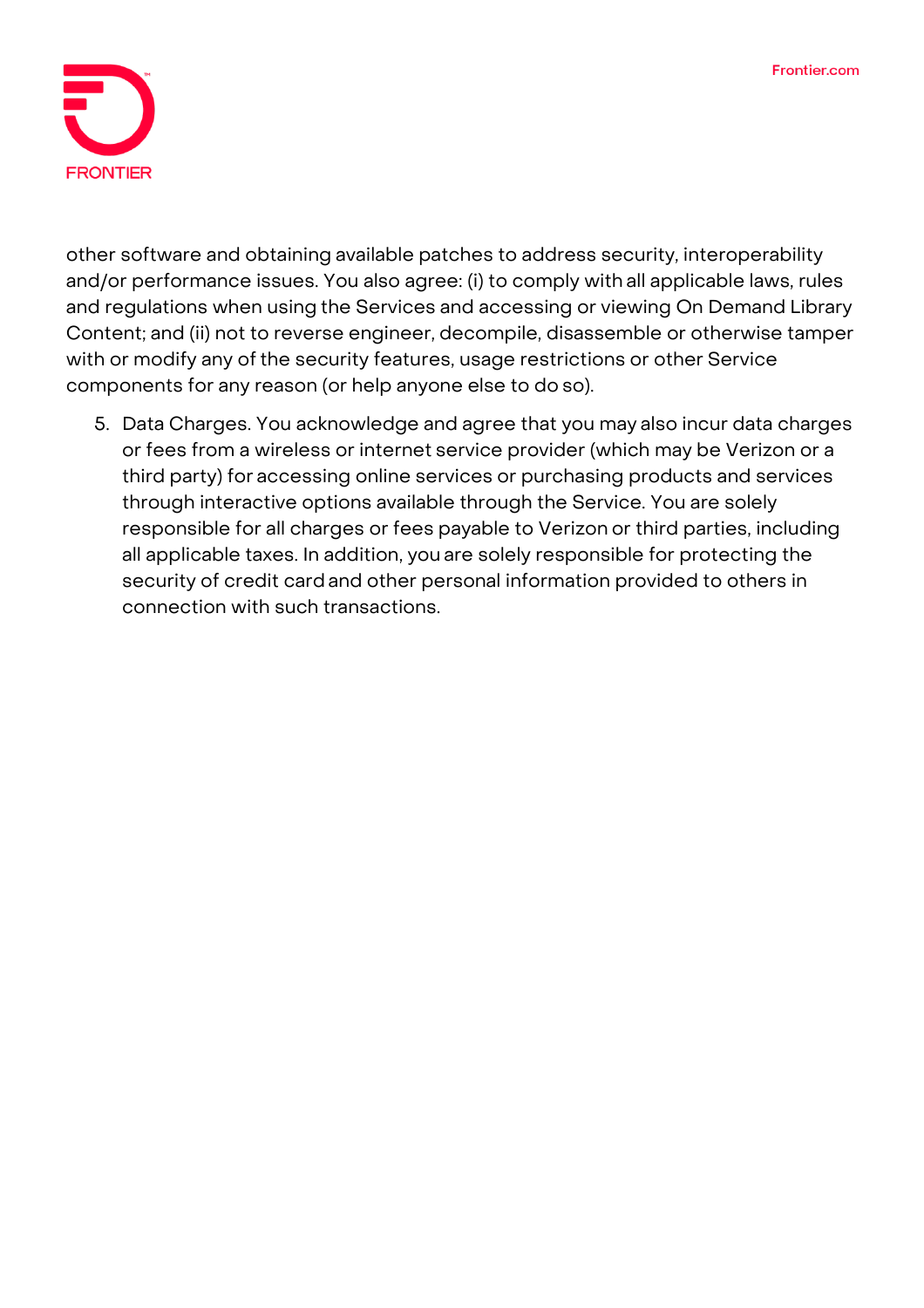

other software and obtaining available patches to address security, interoperability and/or performance issues. You also agree: (i) to comply with all applicable laws, rules and regulations when using the Services and accessing or viewing On Demand Library Content; and (ii) not to reverse engineer, decompile, disassemble or otherwise tamper with or modify any of the security features, usage restrictions or other Service components for any reason (or help anyone else to do so).

5. Data Charges. You acknowledge and agree that you may also incur data charges or fees from a wireless or internet service provider (which may be Verizon or a third party) for accessing online services or purchasing products and services through interactive options available through the Service. You are solely responsible for all charges or fees payable to Verizon or third parties, including all applicable taxes. In addition, you are solely responsible for protecting the security of credit cardand other personal information provided to others in connection with such transactions.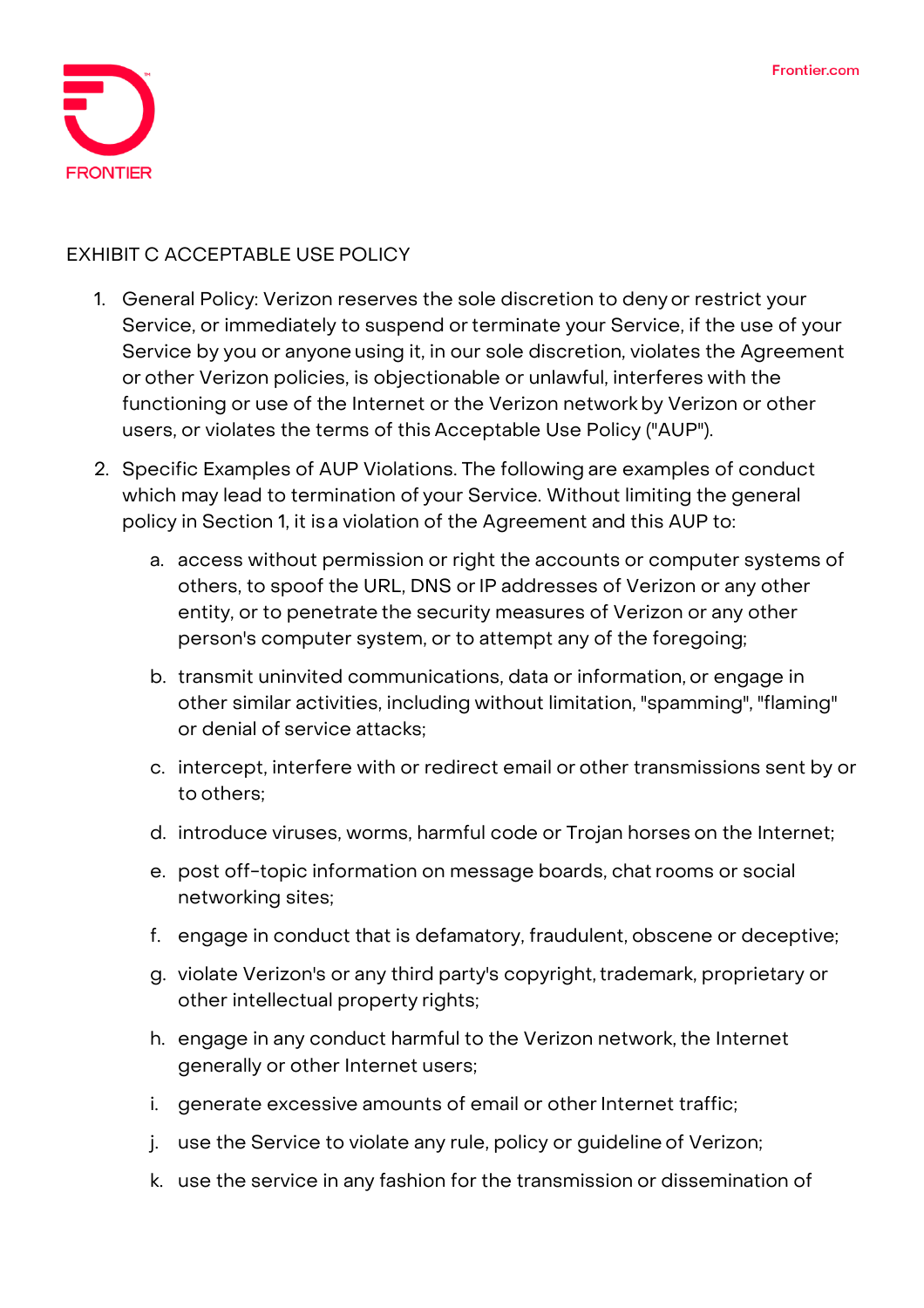

## **EXHIBIT C ACCEPTABLE USE POLICY**

- 1. General Policy: Verizon reserves the sole discretion to denyor restrict your Service, or immediately to suspend orterminate your Service, if the use of your Service by you or anyone using it, in our sole discretion, violates the Agreement or other Verizon policies, is objectionable or unlawful, interferes with the functioning or use of the Internet or the Verizon networkby Verizon or other users, or violates the terms of this Acceptable Use Policy ("AUP").
- 2. Specific Examples of AUP Violations. The following are examples of conduct which may lead to termination of your Service. Without limiting the general policy in Section 1, it isa violation of the Agreement and this AUP to:
	- a. access without permission or right the accounts or computer systems of others, to spoof the URL, DNS or IP addresses of Verizon or any other entity, or to penetrate the security measures of Verizon or any other person's computer system, or to attempt any of the foregoing;
	- b. transmit uninvited communications, data or information, or engage in other similar activities, including without limitation, "spamming", "flaming" or denial of service attacks;
	- c. intercept, interfere with or redirect email or other transmissions sent by or to others;
	- d. introduce viruses, worms, harmful code or Trojan horses on the Internet;
	- e. post off-topic information on message boards, chat rooms or social networking sites;
	- f. engage in conduct that is defamatory, fraudulent, obscene or deceptive;
	- g. violate Verizon's or any third party's copyright, trademark, proprietary or other intellectual property rights;
	- h. engage in any conduct harmful to the Verizon network, the Internet generally or other Internet users;
	- i. generate excessive amounts of email or other Internet traffic;
	- j. use the Service to violate any rule, policy or guideline of Verizon;
	- k. use the service in any fashion for the transmission or dissemination of